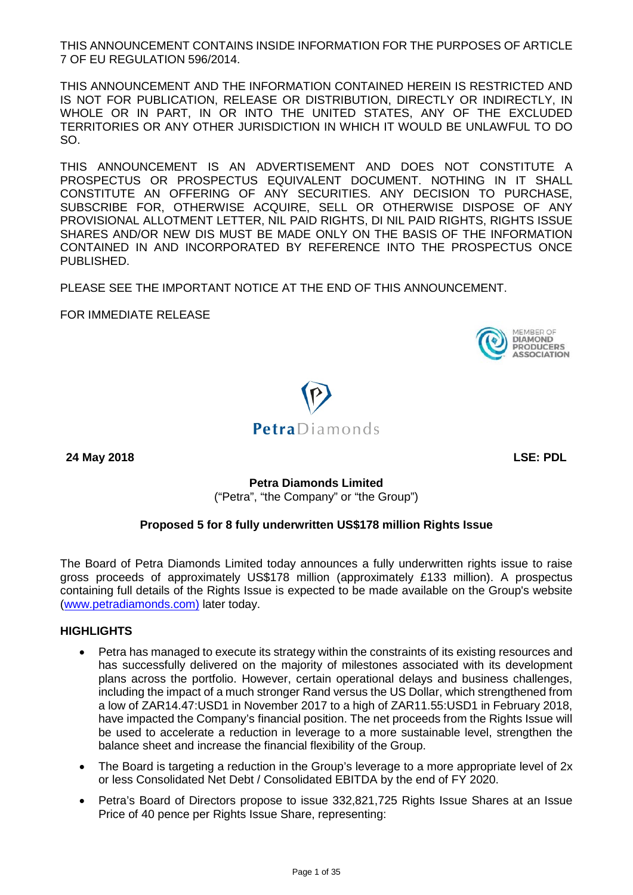THIS ANNOUNCEMENT CONTAINS INSIDE INFORMATION FOR THE PURPOSES OF ARTICLE 7 OF EU REGULATION 596/2014.

THIS ANNOUNCEMENT AND THE INFORMATION CONTAINED HEREIN IS RESTRICTED AND IS NOT FOR PUBLICATION, RELEASE OR DISTRIBUTION, DIRECTLY OR INDIRECTLY, IN WHOLE OR IN PART, IN OR INTO THE UNITED STATES, ANY OF THE EXCLUDED TERRITORIES OR ANY OTHER JURISDICTION IN WHICH IT WOULD BE UNLAWFUL TO DO SO.

THIS ANNOUNCEMENT IS AN ADVERTISEMENT AND DOES NOT CONSTITUTE A PROSPECTUS OR PROSPECTUS EQUIVALENT DOCUMENT. NOTHING IN IT SHALL CONSTITUTE AN OFFERING OF ANY SECURITIES. ANY DECISION TO PURCHASE, SUBSCRIBE FOR, OTHERWISE ACQUIRE, SELL OR OTHERWISE DISPOSE OF ANY PROVISIONAL ALLOTMENT LETTER, NIL PAID RIGHTS, DI NIL PAID RIGHTS, RIGHTS ISSUE SHARES AND/OR NEW DIS MUST BE MADE ONLY ON THE BASIS OF THE INFORMATION CONTAINED IN AND INCORPORATED BY REFERENCE INTO THE PROSPECTUS ONCE PUBLISHED.

PLEASE SEE THE IMPORTANT NOTICE AT THE END OF THIS ANNOUNCEMENT.

FOR IMMEDIATE RELEASE

**DIAMOND** PRODUCERS **ASSOCIATION** 



**24 May 2018 LSE: PDL**

**Petra Diamonds Limited** 

("Petra", "the Company" or "the Group")

## **Proposed 5 for 8 fully underwritten US\$178 million Rights Issue**

The Board of Petra Diamonds Limited today announces a fully underwritten rights issue to raise gross proceeds of approximately US\$178 million (approximately £133 million). A prospectus containing full details of the Rights Issue is expected to be made available on the Group's website [\(www.petradiamonds.com\)](http://www.petradiamonds.com/) later today.

### **HIGHLIGHTS**

- Petra has managed to execute its strategy within the constraints of its existing resources and has successfully delivered on the majority of milestones associated with its development plans across the portfolio. However, certain operational delays and business challenges, including the impact of a much stronger Rand versus the US Dollar, which strengthened from a low of ZAR14.47:USD1 in November 2017 to a high of ZAR11.55:USD1 in February 2018, have impacted the Company's financial position. The net proceeds from the Rights Issue will be used to accelerate a reduction in leverage to a more sustainable level, strengthen the balance sheet and increase the financial flexibility of the Group.
- The Board is targeting a reduction in the Group's leverage to a more appropriate level of 2x or less Consolidated Net Debt / Consolidated EBITDA by the end of FY 2020.
- Petra's Board of Directors propose to issue 332,821,725 Rights Issue Shares at an Issue Price of 40 pence per Rights Issue Share, representing: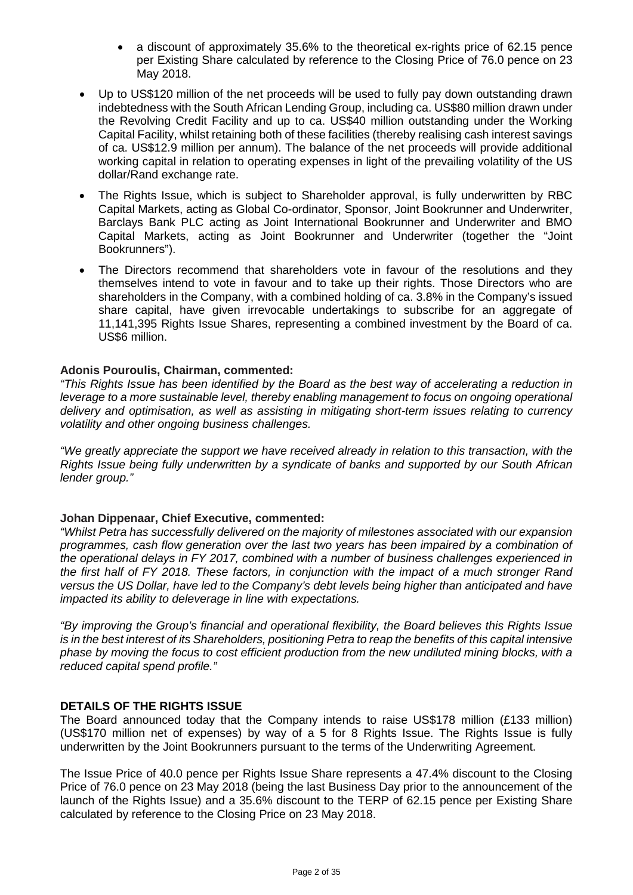- a discount of approximately 35.6% to the theoretical ex-rights price of 62.15 pence per Existing Share calculated by reference to the Closing Price of 76.0 pence on 23 May 2018.
- Up to US\$120 million of the net proceeds will be used to fully pay down outstanding drawn indebtedness with the South African Lending Group, including ca. US\$80 million drawn under the Revolving Credit Facility and up to ca. US\$40 million outstanding under the Working Capital Facility, whilst retaining both of these facilities (thereby realising cash interest savings of ca. US\$12.9 million per annum). The balance of the net proceeds will provide additional working capital in relation to operating expenses in light of the prevailing volatility of the US dollar/Rand exchange rate.
- The Rights Issue, which is subject to Shareholder approval, is fully underwritten by RBC Capital Markets, acting as Global Co-ordinator, Sponsor, Joint Bookrunner and Underwriter, Barclays Bank PLC acting as Joint International Bookrunner and Underwriter and BMO Capital Markets, acting as Joint Bookrunner and Underwriter (together the "Joint Bookrunners").
- The Directors recommend that shareholders vote in favour of the resolutions and they themselves intend to vote in favour and to take up their rights. Those Directors who are shareholders in the Company, with a combined holding of ca. 3.8% in the Company's issued share capital, have given irrevocable undertakings to subscribe for an aggregate of 11,141,395 Rights Issue Shares, representing a combined investment by the Board of ca. US\$6 million.

#### **Adonis Pouroulis, Chairman, commented:**

*"This Rights Issue has been identified by the Board as the best way of accelerating a reduction in leverage to a more sustainable level, thereby enabling management to focus on ongoing operational delivery and optimisation, as well as assisting in mitigating short-term issues relating to currency volatility and other ongoing business challenges.*

*"We greatly appreciate the support we have received already in relation to this transaction, with the Rights Issue being fully underwritten by a syndicate of banks and supported by our South African lender group."*

#### **Johan Dippenaar, Chief Executive, commented:**

*"Whilst Petra has successfully delivered on the majority of milestones associated with our expansion programmes, cash flow generation over the last two years has been impaired by a combination of the operational delays in FY 2017, combined with a number of business challenges experienced in the first half of FY 2018. These factors, in conjunction with the impact of a much stronger Rand versus the US Dollar, have led to the Company's debt levels being higher than anticipated and have impacted its ability to deleverage in line with expectations.*

*"By improving the Group's financial and operational flexibility, the Board believes this Rights Issue is in the best interest of its Shareholders, positioning Petra to reap the benefits of this capital intensive phase by moving the focus to cost efficient production from the new undiluted mining blocks, with a reduced capital spend profile."*

#### **DETAILS OF THE RIGHTS ISSUE**

The Board announced today that the Company intends to raise US\$178 million (£133 million) (US\$170 million net of expenses) by way of a 5 for 8 Rights Issue. The Rights Issue is fully underwritten by the Joint Bookrunners pursuant to the terms of the Underwriting Agreement.

The Issue Price of 40.0 pence per Rights Issue Share represents a 47.4% discount to the Closing Price of 76.0 pence on 23 May 2018 (being the last Business Day prior to the announcement of the launch of the Rights Issue) and a 35.6% discount to the TERP of 62.15 pence per Existing Share calculated by reference to the Closing Price on 23 May 2018.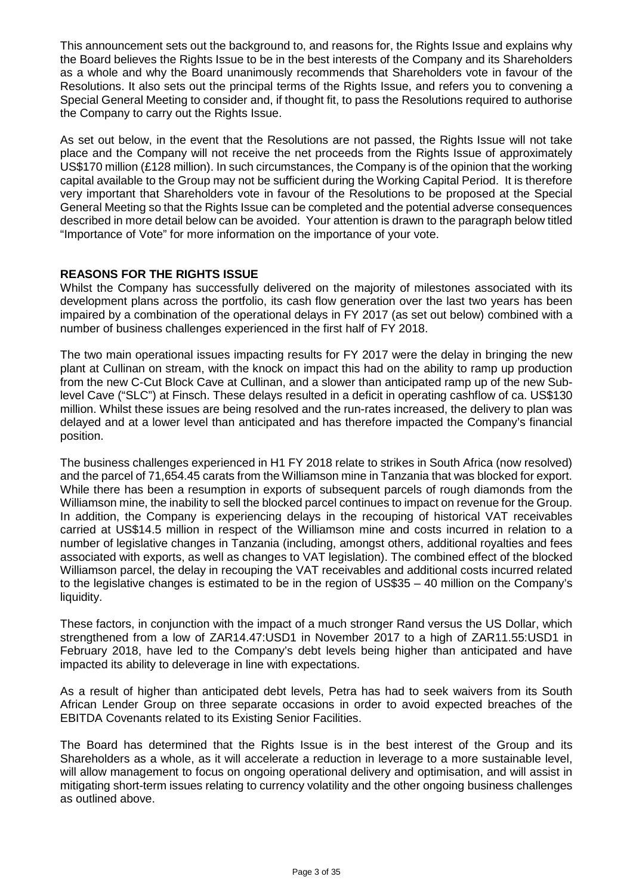This announcement sets out the background to, and reasons for, the Rights Issue and explains why the Board believes the Rights Issue to be in the best interests of the Company and its Shareholders as a whole and why the Board unanimously recommends that Shareholders vote in favour of the Resolutions. It also sets out the principal terms of the Rights Issue, and refers you to convening a Special General Meeting to consider and, if thought fit, to pass the Resolutions required to authorise the Company to carry out the Rights Issue.

As set out below, in the event that the Resolutions are not passed, the Rights Issue will not take place and the Company will not receive the net proceeds from the Rights Issue of approximately US\$170 million (£128 million). In such circumstances, the Company is of the opinion that the working capital available to the Group may not be sufficient during the Working Capital Period. It is therefore very important that Shareholders vote in favour of the Resolutions to be proposed at the Special General Meeting so that the Rights Issue can be completed and the potential adverse consequences described in more detail below can be avoided. Your attention is drawn to the paragraph below titled "Importance of Vote" for more information on the importance of your vote.

### **REASONS FOR THE RIGHTS ISSUE**

Whilst the Company has successfully delivered on the majority of milestones associated with its development plans across the portfolio, its cash flow generation over the last two years has been impaired by a combination of the operational delays in FY 2017 (as set out below) combined with a number of business challenges experienced in the first half of FY 2018.

The two main operational issues impacting results for FY 2017 were the delay in bringing the new plant at Cullinan on stream, with the knock on impact this had on the ability to ramp up production from the new C-Cut Block Cave at Cullinan, and a slower than anticipated ramp up of the new Sublevel Cave ("SLC") at Finsch. These delays resulted in a deficit in operating cashflow of ca. US\$130 million. Whilst these issues are being resolved and the run-rates increased, the delivery to plan was delayed and at a lower level than anticipated and has therefore impacted the Company's financial position.

The business challenges experienced in H1 FY 2018 relate to strikes in South Africa (now resolved) and the parcel of 71,654.45 carats from the Williamson mine in Tanzania that was blocked for export. While there has been a resumption in exports of subsequent parcels of rough diamonds from the Williamson mine, the inability to sell the blocked parcel continues to impact on revenue for the Group. In addition, the Company is experiencing delays in the recouping of historical VAT receivables carried at US\$14.5 million in respect of the Williamson mine and costs incurred in relation to a number of legislative changes in Tanzania (including, amongst others, additional royalties and fees associated with exports, as well as changes to VAT legislation). The combined effect of the blocked Williamson parcel, the delay in recouping the VAT receivables and additional costs incurred related to the legislative changes is estimated to be in the region of US\$35 – 40 million on the Company's liquidity.

These factors, in conjunction with the impact of a much stronger Rand versus the US Dollar, which strengthened from a low of ZAR14.47:USD1 in November 2017 to a high of ZAR11.55:USD1 in February 2018, have led to the Company's debt levels being higher than anticipated and have impacted its ability to deleverage in line with expectations.

As a result of higher than anticipated debt levels, Petra has had to seek waivers from its South African Lender Group on three separate occasions in order to avoid expected breaches of the EBITDA Covenants related to its Existing Senior Facilities.

The Board has determined that the Rights Issue is in the best interest of the Group and its Shareholders as a whole, as it will accelerate a reduction in leverage to a more sustainable level, will allow management to focus on ongoing operational delivery and optimisation, and will assist in mitigating short-term issues relating to currency volatility and the other ongoing business challenges as outlined above.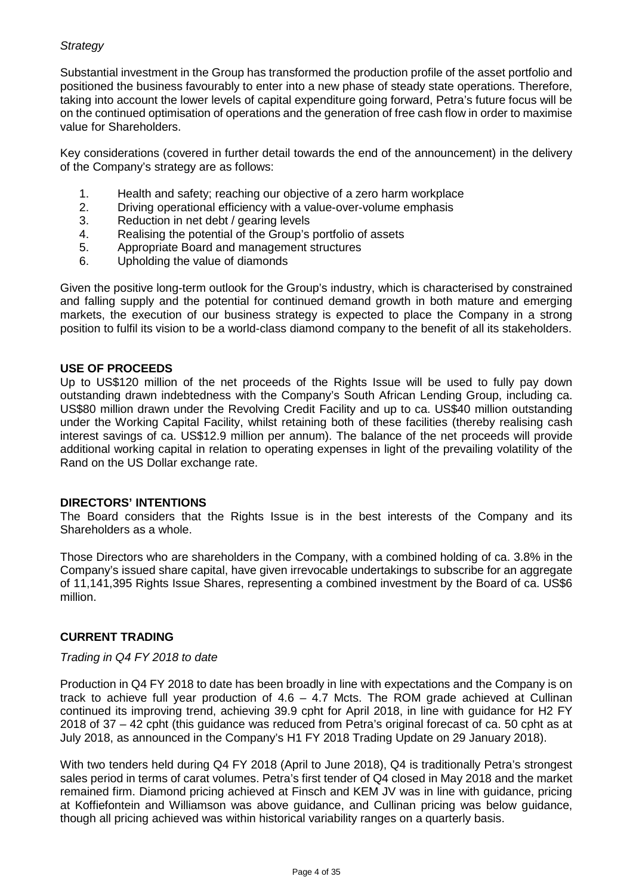### *Strategy*

Substantial investment in the Group has transformed the production profile of the asset portfolio and positioned the business favourably to enter into a new phase of steady state operations. Therefore, taking into account the lower levels of capital expenditure going forward, Petra's future focus will be on the continued optimisation of operations and the generation of free cash flow in order to maximise value for Shareholders.

Key considerations (covered in further detail towards the end of the announcement) in the delivery of the Company's strategy are as follows:

- 1. Health and safety; reaching our objective of a zero harm workplace<br>2. Driving operational efficiency with a value-over-volume emphasis
- 2. Driving operational efficiency with a value-over-volume emphasis Reduction in net debt / gearing levels
- Reduction in net debt / gearing levels
- 4. Realising the potential of the Group's portfolio of assets
- 5. Appropriate Board and management structures
- 6. Upholding the value of diamonds

Given the positive long-term outlook for the Group's industry, which is characterised by constrained and falling supply and the potential for continued demand growth in both mature and emerging markets, the execution of our business strategy is expected to place the Company in a strong position to fulfil its vision to be a world-class diamond company to the benefit of all its stakeholders.

#### **USE OF PROCEEDS**

Up to US\$120 million of the net proceeds of the Rights Issue will be used to fully pay down outstanding drawn indebtedness with the Company's South African Lending Group, including ca. US\$80 million drawn under the Revolving Credit Facility and up to ca. US\$40 million outstanding under the Working Capital Facility, whilst retaining both of these facilities (thereby realising cash interest savings of ca. US\$12.9 million per annum). The balance of the net proceeds will provide additional working capital in relation to operating expenses in light of the prevailing volatility of the Rand on the US Dollar exchange rate.

#### **DIRECTORS' INTENTIONS**

The Board considers that the Rights Issue is in the best interests of the Company and its Shareholders as a whole.

Those Directors who are shareholders in the Company, with a combined holding of ca. 3.8% in the Company's issued share capital, have given irrevocable undertakings to subscribe for an aggregate of 11,141,395 Rights Issue Shares, representing a combined investment by the Board of ca. US\$6 million.

### **CURRENT TRADING**

#### *Trading in Q4 FY 2018 to date*

Production in Q4 FY 2018 to date has been broadly in line with expectations and the Company is on track to achieve full year production of  $4.6 - 4.7$  Mcts. The ROM grade achieved at Cullinan continued its improving trend, achieving 39.9 cpht for April 2018, in line with guidance for H2 FY 2018 of 37 – 42 cpht (this guidance was reduced from Petra's original forecast of ca. 50 cpht as at July 2018, as announced in the Company's H1 FY 2018 Trading Update on 29 January 2018).

With two tenders held during Q4 FY 2018 (April to June 2018), Q4 is traditionally Petra's strongest sales period in terms of carat volumes. Petra's first tender of Q4 closed in May 2018 and the market remained firm. Diamond pricing achieved at Finsch and KEM JV was in line with guidance, pricing at Koffiefontein and Williamson was above guidance, and Cullinan pricing was below guidance, though all pricing achieved was within historical variability ranges on a quarterly basis.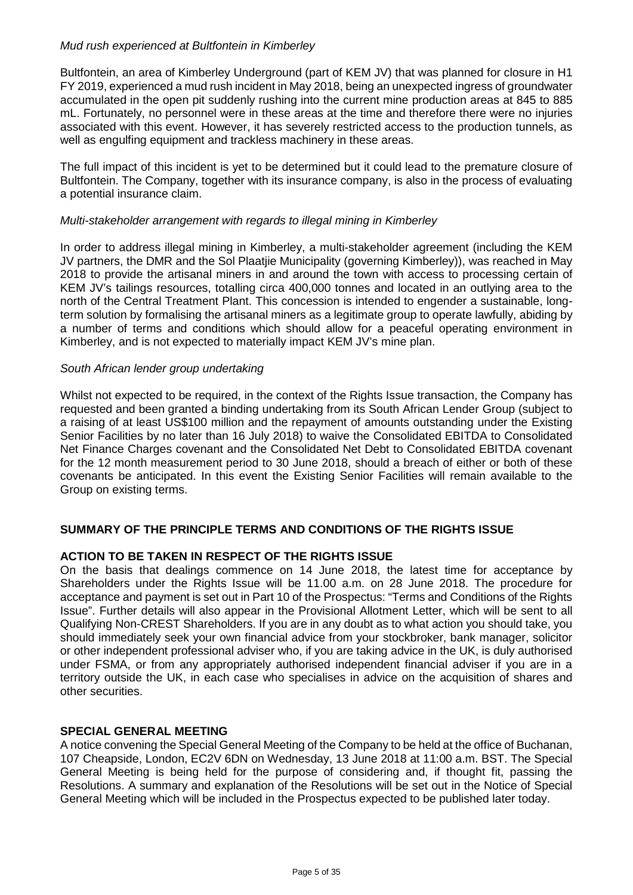### *Mud rush experienced at Bultfontein in Kimberley*

Bultfontein, an area of Kimberley Underground (part of KEM JV) that was planned for closure in H1 FY 2019, experienced a mud rush incident in May 2018, being an unexpected ingress of groundwater accumulated in the open pit suddenly rushing into the current mine production areas at 845 to 885 mL. Fortunately, no personnel were in these areas at the time and therefore there were no injuries associated with this event. However, it has severely restricted access to the production tunnels, as well as engulfing equipment and trackless machinery in these areas.

The full impact of this incident is yet to be determined but it could lead to the premature closure of Bultfontein. The Company, together with its insurance company, is also in the process of evaluating a potential insurance claim.

#### *Multi-stakeholder arrangement with regards to illegal mining in Kimberley*

In order to address illegal mining in Kimberley, a multi-stakeholder agreement (including the KEM JV partners, the DMR and the Sol Plaatjie Municipality (governing Kimberley)), was reached in May 2018 to provide the artisanal miners in and around the town with access to processing certain of KEM JV's tailings resources, totalling circa 400,000 tonnes and located in an outlying area to the north of the Central Treatment Plant. This concession is intended to engender a sustainable, longterm solution by formalising the artisanal miners as a legitimate group to operate lawfully, abiding by a number of terms and conditions which should allow for a peaceful operating environment in Kimberley, and is not expected to materially impact KEM JV's mine plan.

#### *South African lender group undertaking*

Whilst not expected to be required, in the context of the Rights Issue transaction, the Company has requested and been granted a binding undertaking from its South African Lender Group (subject to a raising of at least US\$100 million and the repayment of amounts outstanding under the Existing Senior Facilities by no later than 16 July 2018) to waive the Consolidated EBITDA to Consolidated Net Finance Charges covenant and the Consolidated Net Debt to Consolidated EBITDA covenant for the 12 month measurement period to 30 June 2018, should a breach of either or both of these covenants be anticipated. In this event the Existing Senior Facilities will remain available to the Group on existing terms.

### **SUMMARY OF THE PRINCIPLE TERMS AND CONDITIONS OF THE RIGHTS ISSUE**

### **ACTION TO BE TAKEN IN RESPECT OF THE RIGHTS ISSUE**

On the basis that dealings commence on 14 June 2018, the latest time for acceptance by Shareholders under the Rights Issue will be 11.00 a.m. on 28 June 2018. The procedure for acceptance and payment is set out in Part 10 of the Prospectus: "Terms and Conditions of the Rights Issue". Further details will also appear in the Provisional Allotment Letter, which will be sent to all Qualifying Non-CREST Shareholders. If you are in any doubt as to what action you should take, you should immediately seek your own financial advice from your stockbroker, bank manager, solicitor or other independent professional adviser who, if you are taking advice in the UK, is duly authorised under FSMA, or from any appropriately authorised independent financial adviser if you are in a territory outside the UK, in each case who specialises in advice on the acquisition of shares and other securities.

#### **SPECIAL GENERAL MEETING**

A notice convening the Special General Meeting of the Company to be held at the office of Buchanan, 107 Cheapside, London, EC2V 6DN on Wednesday, 13 June 2018 at 11:00 a.m. BST. The Special General Meeting is being held for the purpose of considering and, if thought fit, passing the Resolutions. A summary and explanation of the Resolutions will be set out in the Notice of Special General Meeting which will be included in the Prospectus expected to be published later today.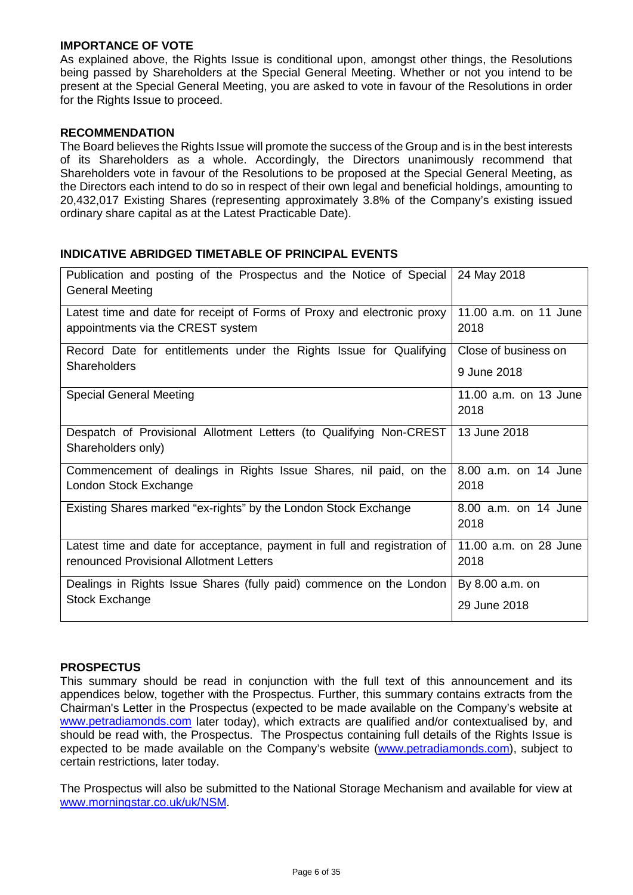#### **IMPORTANCE OF VOTE**

As explained above, the Rights Issue is conditional upon, amongst other things, the Resolutions being passed by Shareholders at the Special General Meeting. Whether or not you intend to be present at the Special General Meeting, you are asked to vote in favour of the Resolutions in order for the Rights Issue to proceed.

### **RECOMMENDATION**

The Board believes the Rights Issue will promote the success of the Group and is in the best interests of its Shareholders as a whole. Accordingly, the Directors unanimously recommend that Shareholders vote in favour of the Resolutions to be proposed at the Special General Meeting, as the Directors each intend to do so in respect of their own legal and beneficial holdings, amounting to 20,432,017 Existing Shares (representing approximately 3.8% of the Company's existing issued ordinary share capital as at the Latest Practicable Date).

### **INDICATIVE ABRIDGED TIMETABLE OF PRINCIPAL EVENTS**

| Publication and posting of the Prospectus and the Notice of Special<br><b>General Meeting</b> | 24 May 2018                   |
|-----------------------------------------------------------------------------------------------|-------------------------------|
| Latest time and date for receipt of Forms of Proxy and electronic proxy                       | 11.00 a.m. on 11 June         |
| appointments via the CREST system                                                             | 2018                          |
| Record Date for entitlements under the Rights Issue for Qualifying                            | Close of business on          |
| Shareholders                                                                                  | 9 June 2018                   |
| <b>Special General Meeting</b>                                                                | 11.00 a.m. on 13 June<br>2018 |
| Despatch of Provisional Allotment Letters (to Qualifying Non-CREST<br>Shareholders only)      | 13 June 2018                  |
| Commencement of dealings in Rights Issue Shares, nil paid, on the                             | 8.00 a.m. on 14 June          |
| London Stock Exchange                                                                         | 2018                          |
| Existing Shares marked "ex-rights" by the London Stock Exchange                               | 8.00 a.m. on 14 June<br>2018  |
| Latest time and date for acceptance, payment in full and registration of                      | 11.00 a.m. on 28 June         |
| renounced Provisional Allotment Letters                                                       | 2018                          |
| Dealings in Rights Issue Shares (fully paid) commence on the London                           | By 8.00 a.m. on               |
| Stock Exchange                                                                                | 29 June 2018                  |

### **PROSPECTUS**

This summary should be read in conjunction with the full text of this announcement and its appendices below, together with the Prospectus. Further, this summary contains extracts from the Chairman's Letter in the Prospectus (expected to be made available on the Company's website at [www.petradiamonds.com](http://www.petradiamonds.com/) later today), which extracts are qualified and/or contextualised by, and should be read with, the Prospectus. The Prospectus containing full details of the Rights Issue is expected to be made available on the Company's website [\(www.petradiamonds.com\)](http://www.petradiamonds.com/), subject to certain restrictions, later today.

The Prospectus will also be submitted to the National Storage Mechanism and available for view at [www.morningstar.co.uk/uk/NSM.](http://www.morningstar.co.uk/uk/NSM)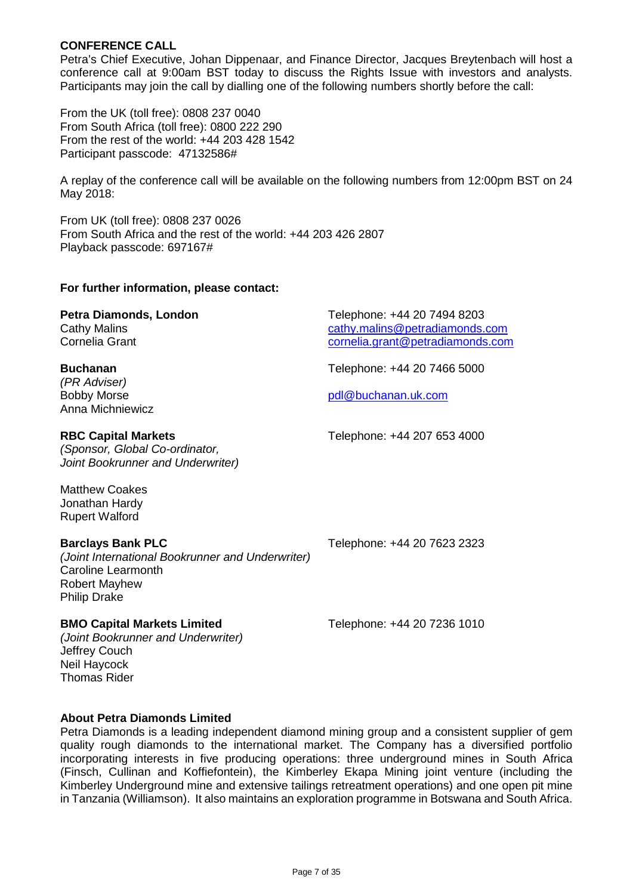#### **CONFERENCE CALL**

Petra's Chief Executive, Johan Dippenaar, and Finance Director, Jacques Breytenbach will host a conference call at 9:00am BST today to discuss the Rights Issue with investors and analysts. Participants may join the call by dialling one of the following numbers shortly before the call:

From the UK (toll free): 0808 237 0040 From South Africa (toll free): 0800 222 290 From the rest of the world: +44 203 428 1542 Participant passcode: 47132586#

A replay of the conference call will be available on the following numbers from 12:00pm BST on 24 May 2018:

From UK (toll free): 0808 237 0026 From South Africa and the rest of the world: +44 203 426 2807 Playback passcode: 697167#

#### **For further information, please contact:**

| Petra Diamonds, London | Telephone: +44 20 7494 8203      |
|------------------------|----------------------------------|
| Cathy Malins           | cathy.malins@petradiamonds.com   |
| Cornelia Grant         | cornelia.grant@petradiamonds.com |
|                        |                                  |

### **Buchanan** Telephone: +44 20 7466 5000

*(PR Adviser)* Anna Michniewicz

#### **RBC Capital Markets** Telephone: +44 207 653 4000

*(Sponsor, Global Co-ordinator, Joint Bookrunner and Underwriter)*

Matthew Coakes Jonathan Hardy Rupert Walford

### **Barclays Bank PLC** Telephone: +44 20 7623 2323

*(Joint International Bookrunner and Underwriter)* Caroline Learmonth Robert Mayhew Philip Drake

## **BMO Capital Markets Limited** Telephone: +44 20 7236 1010

[pdl@buchanan.uk.com](mailto:pdl@buchanan.uk.com)

*(Joint Bookrunner and Underwriter)* Jeffrey Couch Neil Haycock Thomas Rider

### **About Petra Diamonds Limited**

Petra Diamonds is a leading independent diamond mining group and a consistent supplier of gem quality rough diamonds to the international market. The Company has a diversified portfolio incorporating interests in five producing operations: three underground mines in South Africa (Finsch, Cullinan and Koffiefontein), the Kimberley Ekapa Mining joint venture (including the Kimberley Underground mine and extensive tailings retreatment operations) and one open pit mine in Tanzania (Williamson). It also maintains an exploration programme in Botswana and South Africa.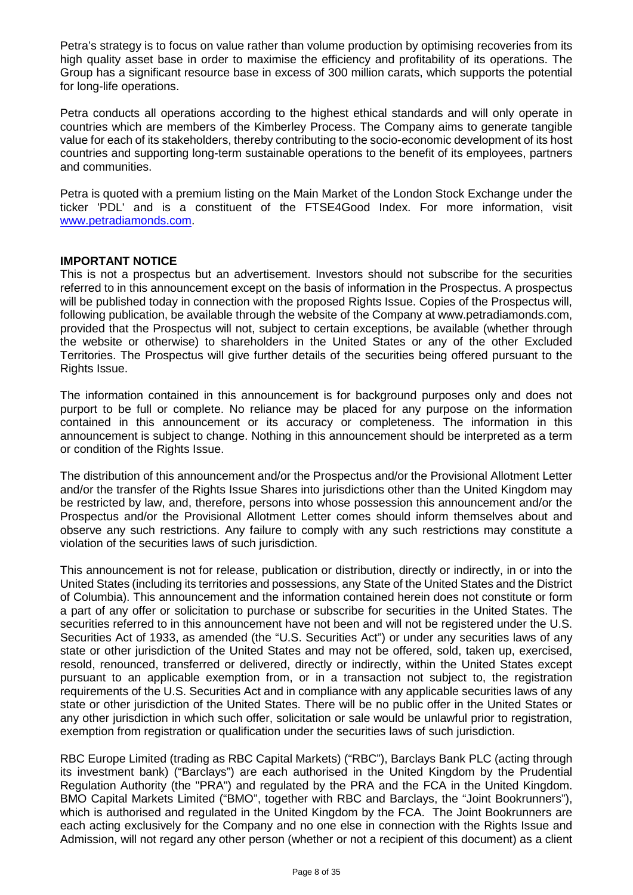Petra's strategy is to focus on value rather than volume production by optimising recoveries from its high quality asset base in order to maximise the efficiency and profitability of its operations. The Group has a significant resource base in excess of 300 million carats, which supports the potential for long-life operations.

Petra conducts all operations according to the highest ethical standards and will only operate in countries which are members of the Kimberley Process. The Company aims to generate tangible value for each of its stakeholders, thereby contributing to the socio-economic development of its host countries and supporting long-term sustainable operations to the benefit of its employees, partners and communities.

Petra is quoted with a premium listing on the Main Market of the London Stock Exchange under the ticker 'PDL' and is a constituent of the FTSE4Good Index. For more information, visit [www.petradiamonds.com.](http://www.petradiamonds.com/)

### **IMPORTANT NOTICE**

This is not a prospectus but an advertisement. Investors should not subscribe for the securities referred to in this announcement except on the basis of information in the Prospectus. A prospectus will be published today in connection with the proposed Rights Issue. Copies of the Prospectus will, following publication, be available through the website of the Company at www.petradiamonds.com, provided that the Prospectus will not, subject to certain exceptions, be available (whether through the website or otherwise) to shareholders in the United States or any of the other Excluded Territories. The Prospectus will give further details of the securities being offered pursuant to the Rights Issue.

The information contained in this announcement is for background purposes only and does not purport to be full or complete. No reliance may be placed for any purpose on the information contained in this announcement or its accuracy or completeness. The information in this announcement is subject to change. Nothing in this announcement should be interpreted as a term or condition of the Rights Issue.

The distribution of this announcement and/or the Prospectus and/or the Provisional Allotment Letter and/or the transfer of the Rights Issue Shares into jurisdictions other than the United Kingdom may be restricted by law, and, therefore, persons into whose possession this announcement and/or the Prospectus and/or the Provisional Allotment Letter comes should inform themselves about and observe any such restrictions. Any failure to comply with any such restrictions may constitute a violation of the securities laws of such jurisdiction.

This announcement is not for release, publication or distribution, directly or indirectly, in or into the United States (including its territories and possessions, any State of the United States and the District of Columbia). This announcement and the information contained herein does not constitute or form a part of any offer or solicitation to purchase or subscribe for securities in the United States. The securities referred to in this announcement have not been and will not be registered under the U.S. Securities Act of 1933, as amended (the "U.S. Securities Act") or under any securities laws of any state or other jurisdiction of the United States and may not be offered, sold, taken up, exercised, resold, renounced, transferred or delivered, directly or indirectly, within the United States except pursuant to an applicable exemption from, or in a transaction not subject to, the registration requirements of the U.S. Securities Act and in compliance with any applicable securities laws of any state or other jurisdiction of the United States. There will be no public offer in the United States or any other jurisdiction in which such offer, solicitation or sale would be unlawful prior to registration, exemption from registration or qualification under the securities laws of such jurisdiction.

RBC Europe Limited (trading as RBC Capital Markets) ("RBC"), Barclays Bank PLC (acting through its investment bank) ("Barclays") are each authorised in the United Kingdom by the Prudential Regulation Authority (the "PRA") and regulated by the PRA and the FCA in the United Kingdom. BMO Capital Markets Limited ("BMO", together with RBC and Barclays, the "Joint Bookrunners"), which is authorised and regulated in the United Kingdom by the FCA. The Joint Bookrunners are each acting exclusively for the Company and no one else in connection with the Rights Issue and Admission, will not regard any other person (whether or not a recipient of this document) as a client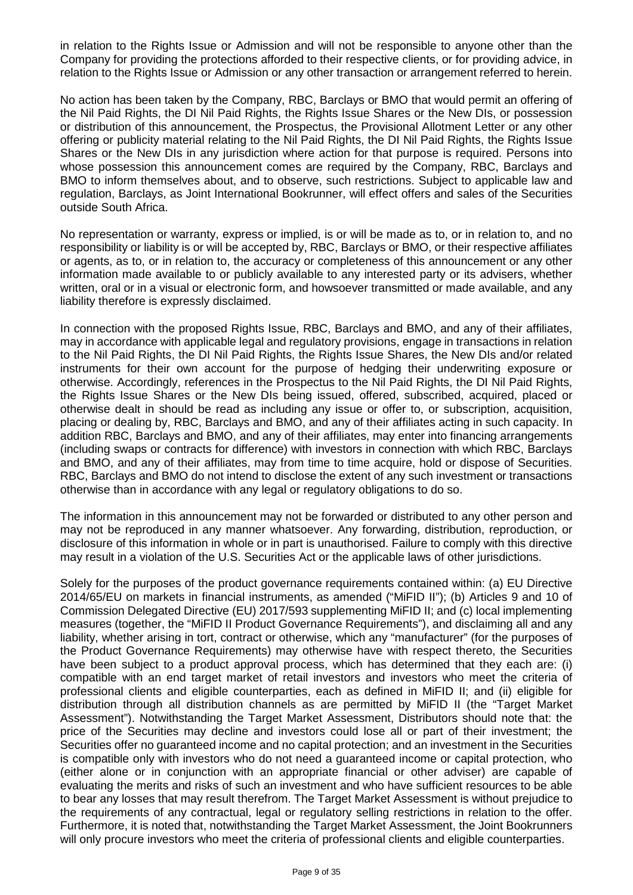in relation to the Rights Issue or Admission and will not be responsible to anyone other than the Company for providing the protections afforded to their respective clients, or for providing advice, in relation to the Rights Issue or Admission or any other transaction or arrangement referred to herein.

No action has been taken by the Company, RBC, Barclays or BMO that would permit an offering of the Nil Paid Rights, the DI Nil Paid Rights, the Rights Issue Shares or the New DIs, or possession or distribution of this announcement, the Prospectus, the Provisional Allotment Letter or any other offering or publicity material relating to the Nil Paid Rights, the DI Nil Paid Rights, the Rights Issue Shares or the New DIs in any jurisdiction where action for that purpose is required. Persons into whose possession this announcement comes are required by the Company, RBC, Barclays and BMO to inform themselves about, and to observe, such restrictions. Subject to applicable law and regulation, Barclays, as Joint International Bookrunner, will effect offers and sales of the Securities outside South Africa.

No representation or warranty, express or implied, is or will be made as to, or in relation to, and no responsibility or liability is or will be accepted by, RBC, Barclays or BMO, or their respective affiliates or agents, as to, or in relation to, the accuracy or completeness of this announcement or any other information made available to or publicly available to any interested party or its advisers, whether written, oral or in a visual or electronic form, and howsoever transmitted or made available, and any liability therefore is expressly disclaimed.

In connection with the proposed Rights Issue, RBC, Barclays and BMO, and any of their affiliates, may in accordance with applicable legal and regulatory provisions, engage in transactions in relation to the Nil Paid Rights, the DI Nil Paid Rights, the Rights Issue Shares, the New DIs and/or related instruments for their own account for the purpose of hedging their underwriting exposure or otherwise. Accordingly, references in the Prospectus to the Nil Paid Rights, the DI Nil Paid Rights, the Rights Issue Shares or the New DIs being issued, offered, subscribed, acquired, placed or otherwise dealt in should be read as including any issue or offer to, or subscription, acquisition, placing or dealing by, RBC, Barclays and BMO, and any of their affiliates acting in such capacity. In addition RBC, Barclays and BMO, and any of their affiliates, may enter into financing arrangements (including swaps or contracts for difference) with investors in connection with which RBC, Barclays and BMO, and any of their affiliates, may from time to time acquire, hold or dispose of Securities. RBC, Barclays and BMO do not intend to disclose the extent of any such investment or transactions otherwise than in accordance with any legal or regulatory obligations to do so.

The information in this announcement may not be forwarded or distributed to any other person and may not be reproduced in any manner whatsoever. Any forwarding, distribution, reproduction, or disclosure of this information in whole or in part is unauthorised. Failure to comply with this directive may result in a violation of the U.S. Securities Act or the applicable laws of other jurisdictions.

Solely for the purposes of the product governance requirements contained within: (a) EU Directive 2014/65/EU on markets in financial instruments, as amended ("MiFID II"); (b) Articles 9 and 10 of Commission Delegated Directive (EU) 2017/593 supplementing MiFID II; and (c) local implementing measures (together, the "MiFID II Product Governance Requirements"), and disclaiming all and any liability, whether arising in tort, contract or otherwise, which any "manufacturer" (for the purposes of the Product Governance Requirements) may otherwise have with respect thereto, the Securities have been subject to a product approval process, which has determined that they each are: (i) compatible with an end target market of retail investors and investors who meet the criteria of professional clients and eligible counterparties, each as defined in MiFID II; and (ii) eligible for distribution through all distribution channels as are permitted by MiFID II (the "Target Market Assessment"). Notwithstanding the Target Market Assessment, Distributors should note that: the price of the Securities may decline and investors could lose all or part of their investment; the Securities offer no guaranteed income and no capital protection; and an investment in the Securities is compatible only with investors who do not need a guaranteed income or capital protection, who (either alone or in conjunction with an appropriate financial or other adviser) are capable of evaluating the merits and risks of such an investment and who have sufficient resources to be able to bear any losses that may result therefrom. The Target Market Assessment is without prejudice to the requirements of any contractual, legal or regulatory selling restrictions in relation to the offer. Furthermore, it is noted that, notwithstanding the Target Market Assessment, the Joint Bookrunners will only procure investors who meet the criteria of professional clients and eligible counterparties.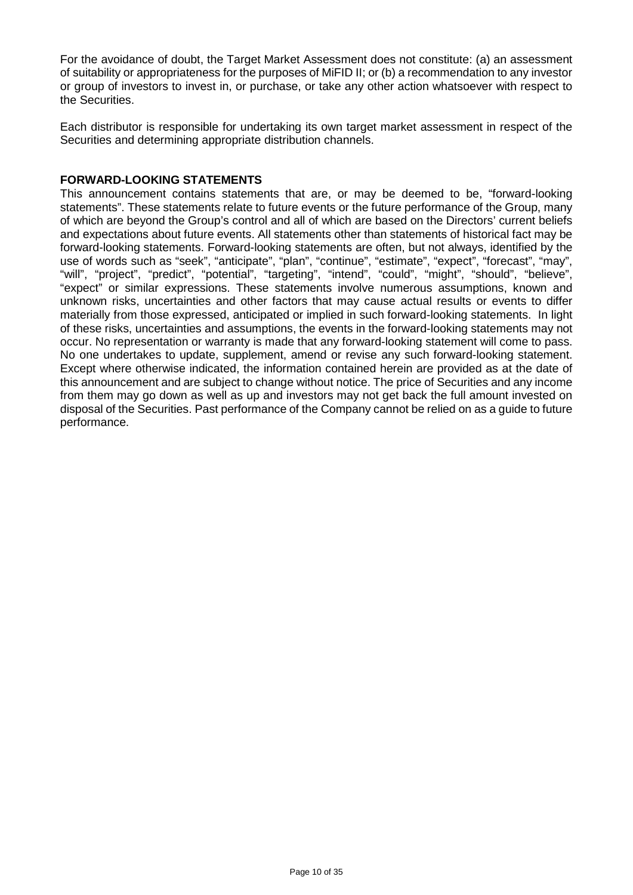For the avoidance of doubt, the Target Market Assessment does not constitute: (a) an assessment of suitability or appropriateness for the purposes of MiFID II; or (b) a recommendation to any investor or group of investors to invest in, or purchase, or take any other action whatsoever with respect to the Securities.

Each distributor is responsible for undertaking its own target market assessment in respect of the Securities and determining appropriate distribution channels.

### **FORWARD-LOOKING STATEMENTS**

This announcement contains statements that are, or may be deemed to be, "forward-looking statements". These statements relate to future events or the future performance of the Group, many of which are beyond the Group's control and all of which are based on the Directors' current beliefs and expectations about future events. All statements other than statements of historical fact may be forward-looking statements. Forward-looking statements are often, but not always, identified by the use of words such as "seek", "anticipate", "plan", "continue", "estimate", "expect", "forecast", "may", "will", "project", "predict", "potential", "targeting", "intend", "could", "might", "should", "believe", "expect" or similar expressions. These statements involve numerous assumptions, known and unknown risks, uncertainties and other factors that may cause actual results or events to differ materially from those expressed, anticipated or implied in such forward-looking statements. In light of these risks, uncertainties and assumptions, the events in the forward-looking statements may not occur. No representation or warranty is made that any forward-looking statement will come to pass. No one undertakes to update, supplement, amend or revise any such forward-looking statement. Except where otherwise indicated, the information contained herein are provided as at the date of this announcement and are subject to change without notice. The price of Securities and any income from them may go down as well as up and investors may not get back the full amount invested on disposal of the Securities. Past performance of the Company cannot be relied on as a guide to future performance.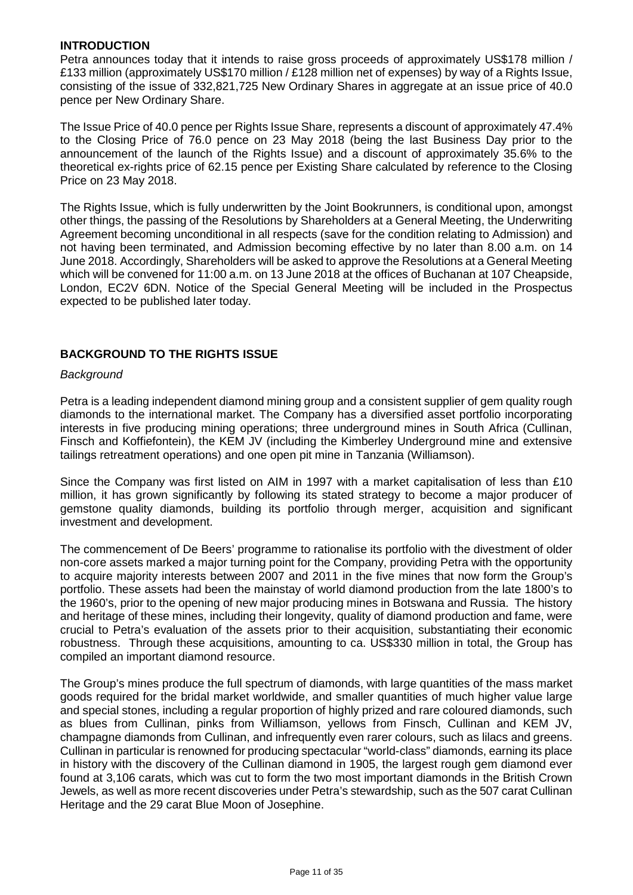### **INTRODUCTION**

Petra announces today that it intends to raise gross proceeds of approximately US\$178 million / £133 million (approximately US\$170 million / £128 million net of expenses) by way of a Rights Issue, consisting of the issue of 332,821,725 New Ordinary Shares in aggregate at an issue price of 40.0 pence per New Ordinary Share.

The Issue Price of 40.0 pence per Rights Issue Share, represents a discount of approximately 47.4% to the Closing Price of 76.0 pence on 23 May 2018 (being the last Business Day prior to the announcement of the launch of the Rights Issue) and a discount of approximately 35.6% to the theoretical ex-rights price of 62.15 pence per Existing Share calculated by reference to the Closing Price on 23 May 2018.

The Rights Issue, which is fully underwritten by the Joint Bookrunners, is conditional upon, amongst other things, the passing of the Resolutions by Shareholders at a General Meeting, the Underwriting Agreement becoming unconditional in all respects (save for the condition relating to Admission) and not having been terminated, and Admission becoming effective by no later than 8.00 a.m. on 14 June 2018. Accordingly, Shareholders will be asked to approve the Resolutions at a General Meeting which will be convened for 11:00 a.m. on 13 June 2018 at the offices of Buchanan at 107 Cheapside, London, EC2V 6DN. Notice of the Special General Meeting will be included in the Prospectus expected to be published later today.

### **BACKGROUND TO THE RIGHTS ISSUE**

#### *Background*

Petra is a leading independent diamond mining group and a consistent supplier of gem quality rough diamonds to the international market. The Company has a diversified asset portfolio incorporating interests in five producing mining operations; three underground mines in South Africa (Cullinan, Finsch and Koffiefontein), the KEM JV (including the Kimberley Underground mine and extensive tailings retreatment operations) and one open pit mine in Tanzania (Williamson).

Since the Company was first listed on AIM in 1997 with a market capitalisation of less than £10 million, it has grown significantly by following its stated strategy to become a major producer of gemstone quality diamonds, building its portfolio through merger, acquisition and significant investment and development.

The commencement of De Beers' programme to rationalise its portfolio with the divestment of older non-core assets marked a major turning point for the Company, providing Petra with the opportunity to acquire majority interests between 2007 and 2011 in the five mines that now form the Group's portfolio. These assets had been the mainstay of world diamond production from the late 1800's to the 1960's, prior to the opening of new major producing mines in Botswana and Russia. The history and heritage of these mines, including their longevity, quality of diamond production and fame, were crucial to Petra's evaluation of the assets prior to their acquisition, substantiating their economic robustness. Through these acquisitions, amounting to ca. US\$330 million in total, the Group has compiled an important diamond resource.

The Group's mines produce the full spectrum of diamonds, with large quantities of the mass market goods required for the bridal market worldwide, and smaller quantities of much higher value large and special stones, including a regular proportion of highly prized and rare coloured diamonds, such as blues from Cullinan, pinks from Williamson, yellows from Finsch, Cullinan and KEM JV, champagne diamonds from Cullinan, and infrequently even rarer colours, such as lilacs and greens. Cullinan in particular is renowned for producing spectacular "world-class" diamonds, earning its place in history with the discovery of the Cullinan diamond in 1905, the largest rough gem diamond ever found at 3,106 carats, which was cut to form the two most important diamonds in the British Crown Jewels, as well as more recent discoveries under Petra's stewardship, such as the 507 carat Cullinan Heritage and the 29 carat Blue Moon of Josephine.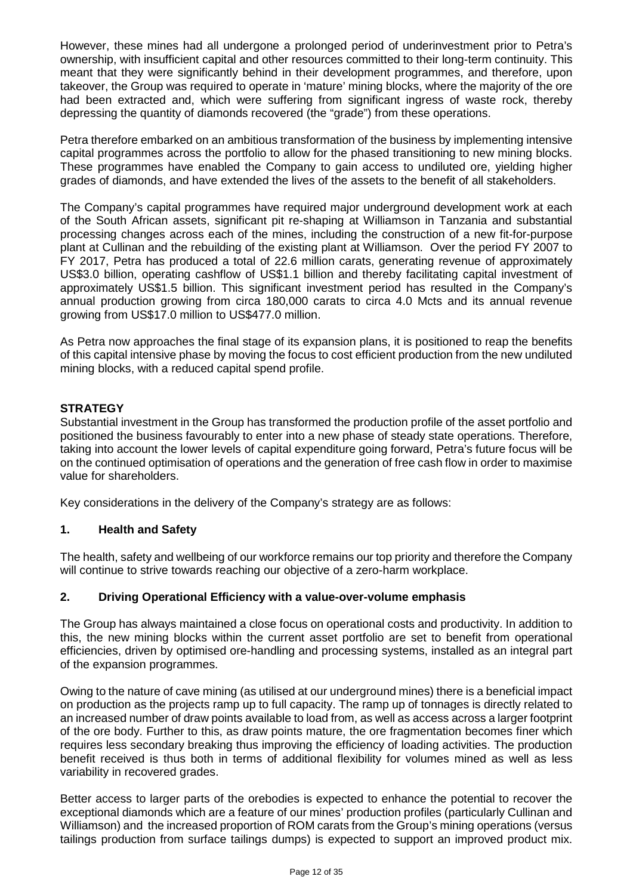However, these mines had all undergone a prolonged period of underinvestment prior to Petra's ownership, with insufficient capital and other resources committed to their long-term continuity. This meant that they were significantly behind in their development programmes, and therefore, upon takeover, the Group was required to operate in 'mature' mining blocks, where the majority of the ore had been extracted and, which were suffering from significant ingress of waste rock, thereby depressing the quantity of diamonds recovered (the "grade") from these operations.

Petra therefore embarked on an ambitious transformation of the business by implementing intensive capital programmes across the portfolio to allow for the phased transitioning to new mining blocks. These programmes have enabled the Company to gain access to undiluted ore, yielding higher grades of diamonds, and have extended the lives of the assets to the benefit of all stakeholders.

The Company's capital programmes have required major underground development work at each of the South African assets, significant pit re-shaping at Williamson in Tanzania and substantial processing changes across each of the mines, including the construction of a new fit-for-purpose plant at Cullinan and the rebuilding of the existing plant at Williamson. Over the period FY 2007 to FY 2017, Petra has produced a total of 22.6 million carats, generating revenue of approximately US\$3.0 billion, operating cashflow of US\$1.1 billion and thereby facilitating capital investment of approximately US\$1.5 billion. This significant investment period has resulted in the Company's annual production growing from circa 180,000 carats to circa 4.0 Mcts and its annual revenue growing from US\$17.0 million to US\$477.0 million.

As Petra now approaches the final stage of its expansion plans, it is positioned to reap the benefits of this capital intensive phase by moving the focus to cost efficient production from the new undiluted mining blocks, with a reduced capital spend profile.

### **STRATEGY**

Substantial investment in the Group has transformed the production profile of the asset portfolio and positioned the business favourably to enter into a new phase of steady state operations. Therefore, taking into account the lower levels of capital expenditure going forward, Petra's future focus will be on the continued optimisation of operations and the generation of free cash flow in order to maximise value for shareholders.

Key considerations in the delivery of the Company's strategy are as follows:

### **1. Health and Safety**

The health, safety and wellbeing of our workforce remains our top priority and therefore the Company will continue to strive towards reaching our objective of a zero-harm workplace.

### **2. Driving Operational Efficiency with a value-over-volume emphasis**

The Group has always maintained a close focus on operational costs and productivity. In addition to this, the new mining blocks within the current asset portfolio are set to benefit from operational efficiencies, driven by optimised ore-handling and processing systems, installed as an integral part of the expansion programmes.

Owing to the nature of cave mining (as utilised at our underground mines) there is a beneficial impact on production as the projects ramp up to full capacity. The ramp up of tonnages is directly related to an increased number of draw points available to load from, as well as access across a larger footprint of the ore body. Further to this, as draw points mature, the ore fragmentation becomes finer which requires less secondary breaking thus improving the efficiency of loading activities. The production benefit received is thus both in terms of additional flexibility for volumes mined as well as less variability in recovered grades.

Better access to larger parts of the orebodies is expected to enhance the potential to recover the exceptional diamonds which are a feature of our mines' production profiles (particularly Cullinan and Williamson) and the increased proportion of ROM carats from the Group's mining operations (versus tailings production from surface tailings dumps) is expected to support an improved product mix.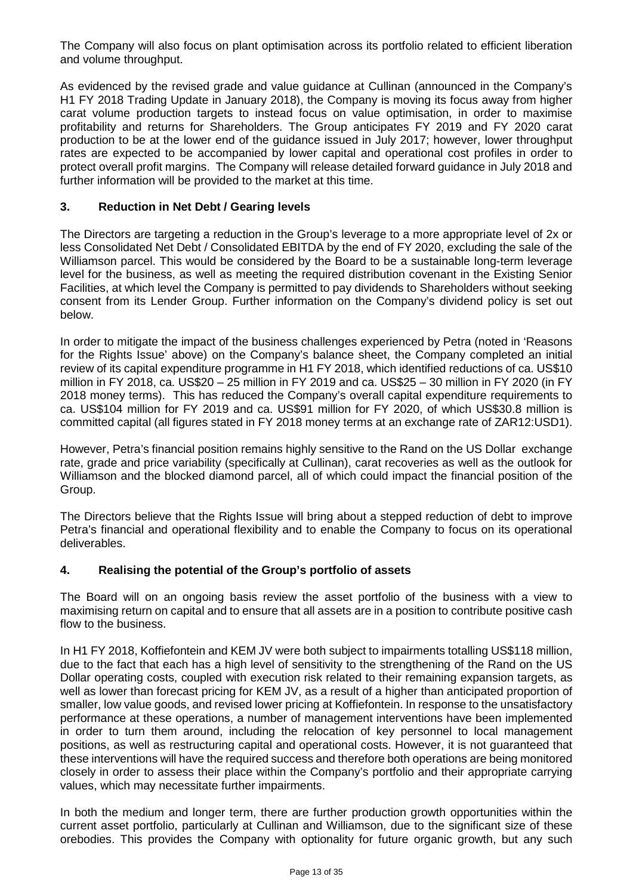The Company will also focus on plant optimisation across its portfolio related to efficient liberation and volume throughput.

As evidenced by the revised grade and value guidance at Cullinan (announced in the Company's H1 FY 2018 Trading Update in January 2018), the Company is moving its focus away from higher carat volume production targets to instead focus on value optimisation, in order to maximise profitability and returns for Shareholders. The Group anticipates FY 2019 and FY 2020 carat production to be at the lower end of the guidance issued in July 2017; however, lower throughput rates are expected to be accompanied by lower capital and operational cost profiles in order to protect overall profit margins. The Company will release detailed forward guidance in July 2018 and further information will be provided to the market at this time.

### **3. Reduction in Net Debt / Gearing levels**

The Directors are targeting a reduction in the Group's leverage to a more appropriate level of 2x or less Consolidated Net Debt / Consolidated EBITDA by the end of FY 2020, excluding the sale of the Williamson parcel. This would be considered by the Board to be a sustainable long-term leverage level for the business, as well as meeting the required distribution covenant in the Existing Senior Facilities, at which level the Company is permitted to pay dividends to Shareholders without seeking consent from its Lender Group. Further information on the Company's dividend policy is set out below.

In order to mitigate the impact of the business challenges experienced by Petra (noted in 'Reasons for the Rights Issue' above) on the Company's balance sheet, the Company completed an initial review of its capital expenditure programme in H1 FY 2018, which identified reductions of ca. US\$10 million in FY 2018, ca. US\$20 – 25 million in FY 2019 and ca. US\$25 – 30 million in FY 2020 (in FY 2018 money terms). This has reduced the Company's overall capital expenditure requirements to ca. US\$104 million for FY 2019 and ca. US\$91 million for FY 2020, of which US\$30.8 million is committed capital (all figures stated in FY 2018 money terms at an exchange rate of ZAR12:USD1).

However, Petra's financial position remains highly sensitive to the Rand on the US Dollar exchange rate, grade and price variability (specifically at Cullinan), carat recoveries as well as the outlook for Williamson and the blocked diamond parcel, all of which could impact the financial position of the Group.

The Directors believe that the Rights Issue will bring about a stepped reduction of debt to improve Petra's financial and operational flexibility and to enable the Company to focus on its operational deliverables.

### **4. Realising the potential of the Group's portfolio of assets**

The Board will on an ongoing basis review the asset portfolio of the business with a view to maximising return on capital and to ensure that all assets are in a position to contribute positive cash flow to the business.

In H1 FY 2018, Koffiefontein and KEM JV were both subject to impairments totalling US\$118 million, due to the fact that each has a high level of sensitivity to the strengthening of the Rand on the US Dollar operating costs, coupled with execution risk related to their remaining expansion targets, as well as lower than forecast pricing for KEM JV, as a result of a higher than anticipated proportion of smaller, low value goods, and revised lower pricing at Koffiefontein. In response to the unsatisfactory performance at these operations, a number of management interventions have been implemented in order to turn them around, including the relocation of key personnel to local management positions, as well as restructuring capital and operational costs. However, it is not guaranteed that these interventions will have the required success and therefore both operations are being monitored closely in order to assess their place within the Company's portfolio and their appropriate carrying values, which may necessitate further impairments.

In both the medium and longer term, there are further production growth opportunities within the current asset portfolio, particularly at Cullinan and Williamson, due to the significant size of these orebodies. This provides the Company with optionality for future organic growth, but any such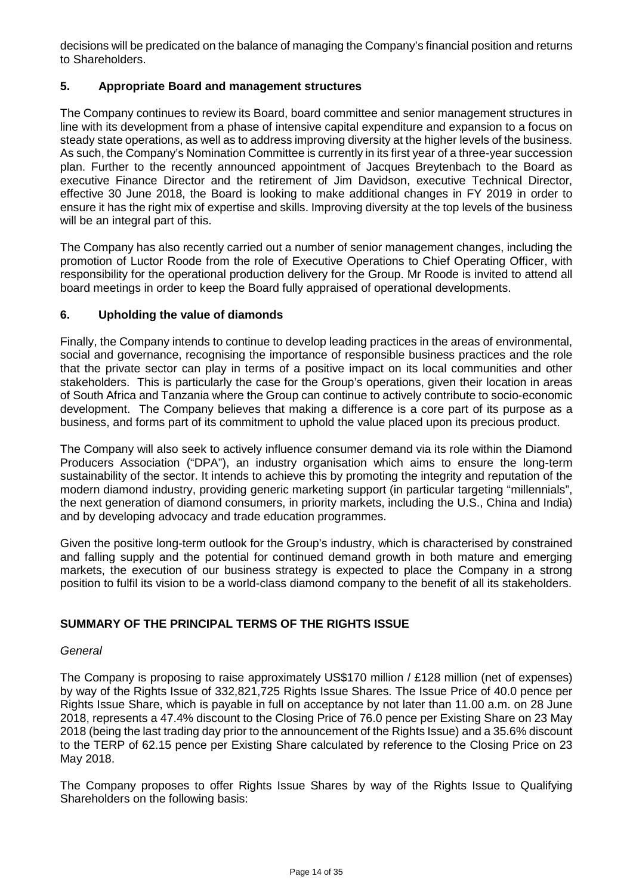decisions will be predicated on the balance of managing the Company's financial position and returns to Shareholders.

### **5. Appropriate Board and management structures**

The Company continues to review its Board, board committee and senior management structures in line with its development from a phase of intensive capital expenditure and expansion to a focus on steady state operations, as well as to address improving diversity at the higher levels of the business. As such, the Company's Nomination Committee is currently in its first year of a three-year succession plan. Further to the recently announced appointment of Jacques Breytenbach to the Board as executive Finance Director and the retirement of Jim Davidson, executive Technical Director, effective 30 June 2018, the Board is looking to make additional changes in FY 2019 in order to ensure it has the right mix of expertise and skills. Improving diversity at the top levels of the business will be an integral part of this.

The Company has also recently carried out a number of senior management changes, including the promotion of Luctor Roode from the role of Executive Operations to Chief Operating Officer, with responsibility for the operational production delivery for the Group. Mr Roode is invited to attend all board meetings in order to keep the Board fully appraised of operational developments.

### **6. Upholding the value of diamonds**

Finally, the Company intends to continue to develop leading practices in the areas of environmental, social and governance, recognising the importance of responsible business practices and the role that the private sector can play in terms of a positive impact on its local communities and other stakeholders. This is particularly the case for the Group's operations, given their location in areas of South Africa and Tanzania where the Group can continue to actively contribute to socio-economic development. The Company believes that making a difference is a core part of its purpose as a business, and forms part of its commitment to uphold the value placed upon its precious product.

The Company will also seek to actively influence consumer demand via its role within the Diamond Producers Association ("DPA"), an industry organisation which aims to ensure the long-term sustainability of the sector. It intends to achieve this by promoting the integrity and reputation of the modern diamond industry, providing generic marketing support (in particular targeting "millennials", the next generation of diamond consumers, in priority markets, including the U.S., China and India) and by developing advocacy and trade education programmes.

Given the positive long-term outlook for the Group's industry, which is characterised by constrained and falling supply and the potential for continued demand growth in both mature and emerging markets, the execution of our business strategy is expected to place the Company in a strong position to fulfil its vision to be a world-class diamond company to the benefit of all its stakeholders.

## **SUMMARY OF THE PRINCIPAL TERMS OF THE RIGHTS ISSUE**

### *General*

The Company is proposing to raise approximately US\$170 million / £128 million (net of expenses) by way of the Rights Issue of 332,821,725 Rights Issue Shares. The Issue Price of 40.0 pence per Rights Issue Share, which is payable in full on acceptance by not later than 11.00 a.m. on 28 June 2018, represents a 47.4% discount to the Closing Price of 76.0 pence per Existing Share on 23 May 2018 (being the last trading day prior to the announcement of the Rights Issue) and a 35.6% discount to the TERP of 62.15 pence per Existing Share calculated by reference to the Closing Price on 23 May 2018.

The Company proposes to offer Rights Issue Shares by way of the Rights Issue to Qualifying Shareholders on the following basis: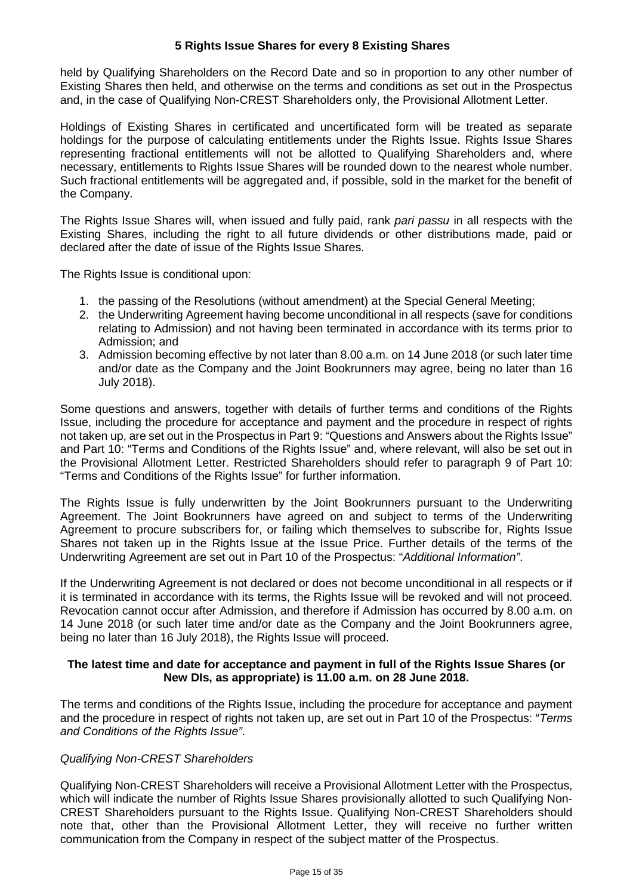### **5 Rights Issue Shares for every 8 Existing Shares**

held by Qualifying Shareholders on the Record Date and so in proportion to any other number of Existing Shares then held, and otherwise on the terms and conditions as set out in the Prospectus and, in the case of Qualifying Non-CREST Shareholders only, the Provisional Allotment Letter.

Holdings of Existing Shares in certificated and uncertificated form will be treated as separate holdings for the purpose of calculating entitlements under the Rights Issue. Rights Issue Shares representing fractional entitlements will not be allotted to Qualifying Shareholders and, where necessary, entitlements to Rights Issue Shares will be rounded down to the nearest whole number. Such fractional entitlements will be aggregated and, if possible, sold in the market for the benefit of the Company.

The Rights Issue Shares will, when issued and fully paid, rank *pari passu* in all respects with the Existing Shares, including the right to all future dividends or other distributions made, paid or declared after the date of issue of the Rights Issue Shares.

The Rights Issue is conditional upon:

- 1. the passing of the Resolutions (without amendment) at the Special General Meeting;
- 2. the Underwriting Agreement having become unconditional in all respects (save for conditions relating to Admission) and not having been terminated in accordance with its terms prior to Admission; and
- 3. Admission becoming effective by not later than 8.00 a.m. on 14 June 2018 (or such later time and/or date as the Company and the Joint Bookrunners may agree, being no later than 16 July 2018).

Some questions and answers, together with details of further terms and conditions of the Rights Issue, including the procedure for acceptance and payment and the procedure in respect of rights not taken up, are set out in the Prospectus in Part 9: "Questions and Answers about the Rights Issue" and Part 10: "Terms and Conditions of the Rights Issue" and, where relevant, will also be set out in the Provisional Allotment Letter. Restricted Shareholders should refer to paragraph 9 of Part 10: "Terms and Conditions of the Rights Issue" for further information.

The Rights Issue is fully underwritten by the Joint Bookrunners pursuant to the Underwriting Agreement. The Joint Bookrunners have agreed on and subject to terms of the Underwriting Agreement to procure subscribers for, or failing which themselves to subscribe for, Rights Issue Shares not taken up in the Rights Issue at the Issue Price. Further details of the terms of the Underwriting Agreement are set out in Part 10 of the Prospectus: "*Additional Information"*.

If the Underwriting Agreement is not declared or does not become unconditional in all respects or if it is terminated in accordance with its terms, the Rights Issue will be revoked and will not proceed. Revocation cannot occur after Admission, and therefore if Admission has occurred by 8.00 a.m. on 14 June 2018 (or such later time and/or date as the Company and the Joint Bookrunners agree, being no later than 16 July 2018), the Rights Issue will proceed.

#### **The latest time and date for acceptance and payment in full of the Rights Issue Shares (or New DIs, as appropriate) is 11.00 a.m. on 28 June 2018.**

The terms and conditions of the Rights Issue, including the procedure for acceptance and payment and the procedure in respect of rights not taken up, are set out in Part 10 of the Prospectus: "*Terms and Conditions of the Rights Issue"*.

### *Qualifying Non-CREST Shareholders*

Qualifying Non-CREST Shareholders will receive a Provisional Allotment Letter with the Prospectus, which will indicate the number of Rights Issue Shares provisionally allotted to such Qualifying Non-CREST Shareholders pursuant to the Rights Issue. Qualifying Non-CREST Shareholders should note that, other than the Provisional Allotment Letter, they will receive no further written communication from the Company in respect of the subject matter of the Prospectus.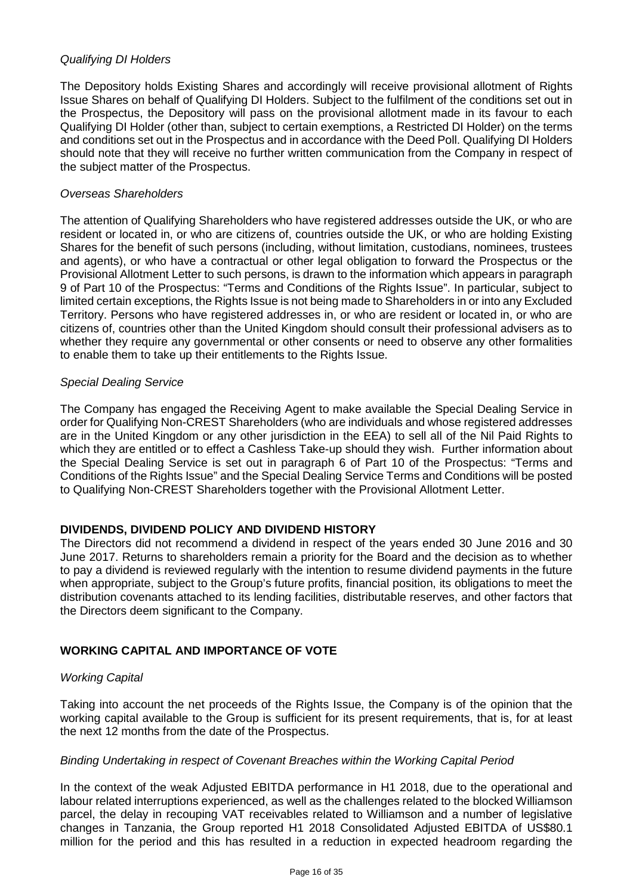### *Qualifying DI Holders*

The Depository holds Existing Shares and accordingly will receive provisional allotment of Rights Issue Shares on behalf of Qualifying DI Holders. Subject to the fulfilment of the conditions set out in the Prospectus, the Depository will pass on the provisional allotment made in its favour to each Qualifying DI Holder (other than, subject to certain exemptions, a Restricted DI Holder) on the terms and conditions set out in the Prospectus and in accordance with the Deed Poll. Qualifying DI Holders should note that they will receive no further written communication from the Company in respect of the subject matter of the Prospectus.

### *Overseas Shareholders*

The attention of Qualifying Shareholders who have registered addresses outside the UK, or who are resident or located in, or who are citizens of, countries outside the UK, or who are holding Existing Shares for the benefit of such persons (including, without limitation, custodians, nominees, trustees and agents), or who have a contractual or other legal obligation to forward the Prospectus or the Provisional Allotment Letter to such persons, is drawn to the information which appears in paragraph 9 of Part 10 of the Prospectus: "Terms and Conditions of the Rights Issue". In particular, subject to limited certain exceptions, the Rights Issue is not being made to Shareholders in or into any Excluded Territory. Persons who have registered addresses in, or who are resident or located in, or who are citizens of, countries other than the United Kingdom should consult their professional advisers as to whether they require any governmental or other consents or need to observe any other formalities to enable them to take up their entitlements to the Rights Issue.

#### *Special Dealing Service*

The Company has engaged the Receiving Agent to make available the Special Dealing Service in order for Qualifying Non-CREST Shareholders (who are individuals and whose registered addresses are in the United Kingdom or any other jurisdiction in the EEA) to sell all of the Nil Paid Rights to which they are entitled or to effect a Cashless Take-up should they wish. Further information about the Special Dealing Service is set out in paragraph 6 of Part 10 of the Prospectus: "Terms and Conditions of the Rights Issue" and the Special Dealing Service Terms and Conditions will be posted to Qualifying Non-CREST Shareholders together with the Provisional Allotment Letter.

### **DIVIDENDS, DIVIDEND POLICY AND DIVIDEND HISTORY**

The Directors did not recommend a dividend in respect of the years ended 30 June 2016 and 30 June 2017. Returns to shareholders remain a priority for the Board and the decision as to whether to pay a dividend is reviewed regularly with the intention to resume dividend payments in the future when appropriate, subject to the Group's future profits, financial position, its obligations to meet the distribution covenants attached to its lending facilities, distributable reserves, and other factors that the Directors deem significant to the Company.

### **WORKING CAPITAL AND IMPORTANCE OF VOTE**

### *Working Capital*

Taking into account the net proceeds of the Rights Issue, the Company is of the opinion that the working capital available to the Group is sufficient for its present requirements, that is, for at least the next 12 months from the date of the Prospectus.

### *Binding Undertaking in respect of Covenant Breaches within the Working Capital Period*

In the context of the weak Adjusted EBITDA performance in H1 2018, due to the operational and labour related interruptions experienced, as well as the challenges related to the blocked Williamson parcel, the delay in recouping VAT receivables related to Williamson and a number of legislative changes in Tanzania, the Group reported H1 2018 Consolidated Adjusted EBITDA of US\$80.1 million for the period and this has resulted in a reduction in expected headroom regarding the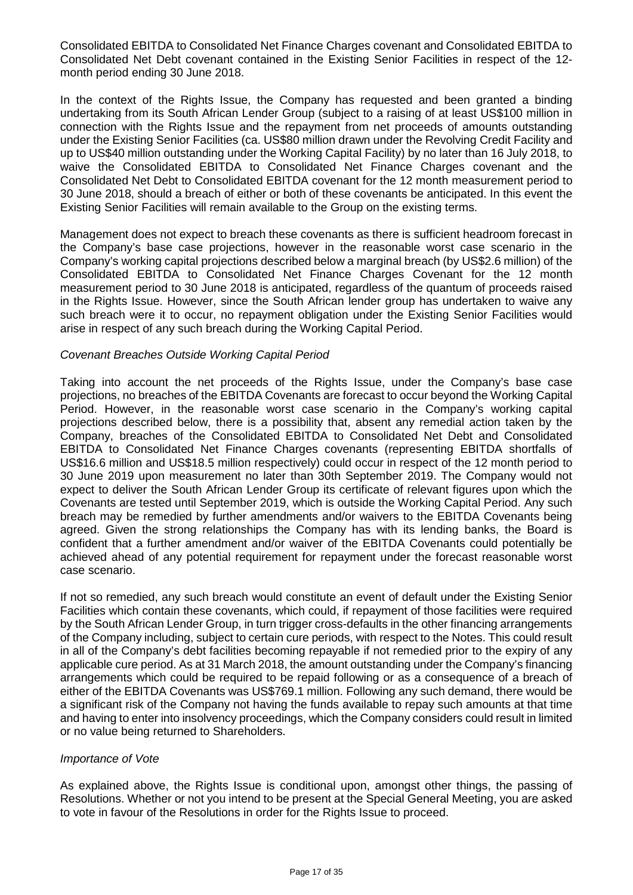Consolidated EBITDA to Consolidated Net Finance Charges covenant and Consolidated EBITDA to Consolidated Net Debt covenant contained in the Existing Senior Facilities in respect of the 12 month period ending 30 June 2018.

In the context of the Rights Issue, the Company has requested and been granted a binding undertaking from its South African Lender Group (subject to a raising of at least US\$100 million in connection with the Rights Issue and the repayment from net proceeds of amounts outstanding under the Existing Senior Facilities (ca. US\$80 million drawn under the Revolving Credit Facility and up to US\$40 million outstanding under the Working Capital Facility) by no later than 16 July 2018, to waive the Consolidated EBITDA to Consolidated Net Finance Charges covenant and the Consolidated Net Debt to Consolidated EBITDA covenant for the 12 month measurement period to 30 June 2018, should a breach of either or both of these covenants be anticipated. In this event the Existing Senior Facilities will remain available to the Group on the existing terms.

Management does not expect to breach these covenants as there is sufficient headroom forecast in the Company's base case projections, however in the reasonable worst case scenario in the Company's working capital projections described below a marginal breach (by US\$2.6 million) of the Consolidated EBITDA to Consolidated Net Finance Charges Covenant for the 12 month measurement period to 30 June 2018 is anticipated, regardless of the quantum of proceeds raised in the Rights Issue. However, since the South African lender group has undertaken to waive any such breach were it to occur, no repayment obligation under the Existing Senior Facilities would arise in respect of any such breach during the Working Capital Period.

#### *Covenant Breaches Outside Working Capital Period*

Taking into account the net proceeds of the Rights Issue, under the Company's base case projections, no breaches of the EBITDA Covenants are forecast to occur beyond the Working Capital Period. However, in the reasonable worst case scenario in the Company's working capital projections described below, there is a possibility that, absent any remedial action taken by the Company, breaches of the Consolidated EBITDA to Consolidated Net Debt and Consolidated EBITDA to Consolidated Net Finance Charges covenants (representing EBITDA shortfalls of US\$16.6 million and US\$18.5 million respectively) could occur in respect of the 12 month period to 30 June 2019 upon measurement no later than 30th September 2019. The Company would not expect to deliver the South African Lender Group its certificate of relevant figures upon which the Covenants are tested until September 2019, which is outside the Working Capital Period. Any such breach may be remedied by further amendments and/or waivers to the EBITDA Covenants being agreed. Given the strong relationships the Company has with its lending banks, the Board is confident that a further amendment and/or waiver of the EBITDA Covenants could potentially be achieved ahead of any potential requirement for repayment under the forecast reasonable worst case scenario.

If not so remedied, any such breach would constitute an event of default under the Existing Senior Facilities which contain these covenants, which could, if repayment of those facilities were required by the South African Lender Group, in turn trigger cross-defaults in the other financing arrangements of the Company including, subject to certain cure periods, with respect to the Notes. This could result in all of the Company's debt facilities becoming repayable if not remedied prior to the expiry of any applicable cure period. As at 31 March 2018, the amount outstanding under the Company's financing arrangements which could be required to be repaid following or as a consequence of a breach of either of the EBITDA Covenants was US\$769.1 million. Following any such demand, there would be a significant risk of the Company not having the funds available to repay such amounts at that time and having to enter into insolvency proceedings, which the Company considers could result in limited or no value being returned to Shareholders.

#### *Importance of Vote*

As explained above, the Rights Issue is conditional upon, amongst other things, the passing of Resolutions. Whether or not you intend to be present at the Special General Meeting, you are asked to vote in favour of the Resolutions in order for the Rights Issue to proceed.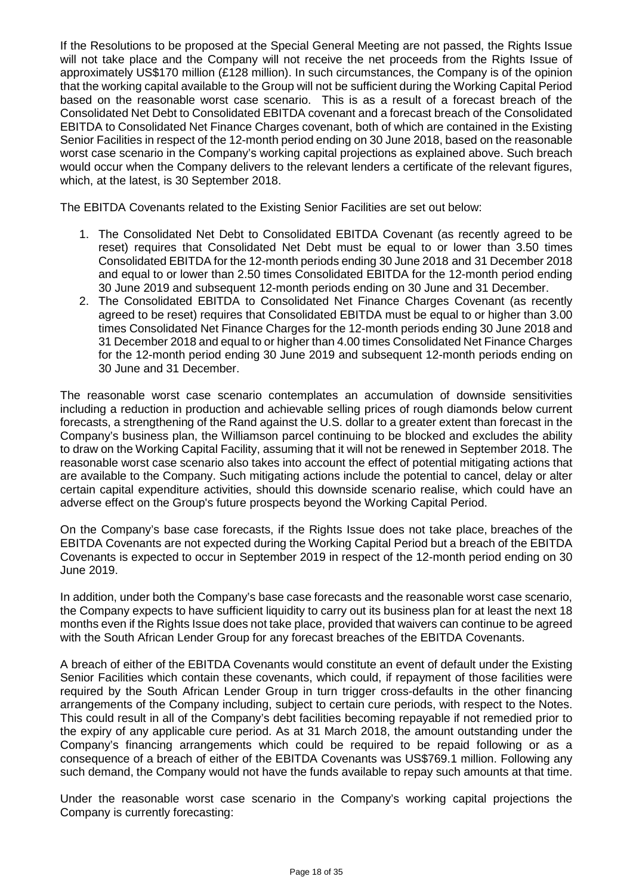If the Resolutions to be proposed at the Special General Meeting are not passed, the Rights Issue will not take place and the Company will not receive the net proceeds from the Rights Issue of approximately US\$170 million (£128 million). In such circumstances, the Company is of the opinion that the working capital available to the Group will not be sufficient during the Working Capital Period based on the reasonable worst case scenario. This is as a result of a forecast breach of the Consolidated Net Debt to Consolidated EBITDA covenant and a forecast breach of the Consolidated EBITDA to Consolidated Net Finance Charges covenant, both of which are contained in the Existing Senior Facilities in respect of the 12-month period ending on 30 June 2018, based on the reasonable worst case scenario in the Company's working capital projections as explained above. Such breach would occur when the Company delivers to the relevant lenders a certificate of the relevant figures, which, at the latest, is 30 September 2018.

The EBITDA Covenants related to the Existing Senior Facilities are set out below:

- 1. The Consolidated Net Debt to Consolidated EBITDA Covenant (as recently agreed to be reset) requires that Consolidated Net Debt must be equal to or lower than 3.50 times Consolidated EBITDA for the 12-month periods ending 30 June 2018 and 31 December 2018 and equal to or lower than 2.50 times Consolidated EBITDA for the 12-month period ending 30 June 2019 and subsequent 12-month periods ending on 30 June and 31 December.
- 2. The Consolidated EBITDA to Consolidated Net Finance Charges Covenant (as recently agreed to be reset) requires that Consolidated EBITDA must be equal to or higher than 3.00 times Consolidated Net Finance Charges for the 12-month periods ending 30 June 2018 and 31 December 2018 and equal to or higher than 4.00 times Consolidated Net Finance Charges for the 12-month period ending 30 June 2019 and subsequent 12-month periods ending on 30 June and 31 December.

The reasonable worst case scenario contemplates an accumulation of downside sensitivities including a reduction in production and achievable selling prices of rough diamonds below current forecasts, a strengthening of the Rand against the U.S. dollar to a greater extent than forecast in the Company's business plan, the Williamson parcel continuing to be blocked and excludes the ability to draw on the Working Capital Facility, assuming that it will not be renewed in September 2018. The reasonable worst case scenario also takes into account the effect of potential mitigating actions that are available to the Company. Such mitigating actions include the potential to cancel, delay or alter certain capital expenditure activities, should this downside scenario realise, which could have an adverse effect on the Group's future prospects beyond the Working Capital Period.

On the Company's base case forecasts, if the Rights Issue does not take place, breaches of the EBITDA Covenants are not expected during the Working Capital Period but a breach of the EBITDA Covenants is expected to occur in September 2019 in respect of the 12-month period ending on 30 June 2019.

In addition, under both the Company's base case forecasts and the reasonable worst case scenario, the Company expects to have sufficient liquidity to carry out its business plan for at least the next 18 months even if the Rights Issue does not take place, provided that waivers can continue to be agreed with the South African Lender Group for any forecast breaches of the EBITDA Covenants.

A breach of either of the EBITDA Covenants would constitute an event of default under the Existing Senior Facilities which contain these covenants, which could, if repayment of those facilities were required by the South African Lender Group in turn trigger cross-defaults in the other financing arrangements of the Company including, subject to certain cure periods, with respect to the Notes. This could result in all of the Company's debt facilities becoming repayable if not remedied prior to the expiry of any applicable cure period. As at 31 March 2018, the amount outstanding under the Company's financing arrangements which could be required to be repaid following or as a consequence of a breach of either of the EBITDA Covenants was US\$769.1 million. Following any such demand, the Company would not have the funds available to repay such amounts at that time.

Under the reasonable worst case scenario in the Company's working capital projections the Company is currently forecasting: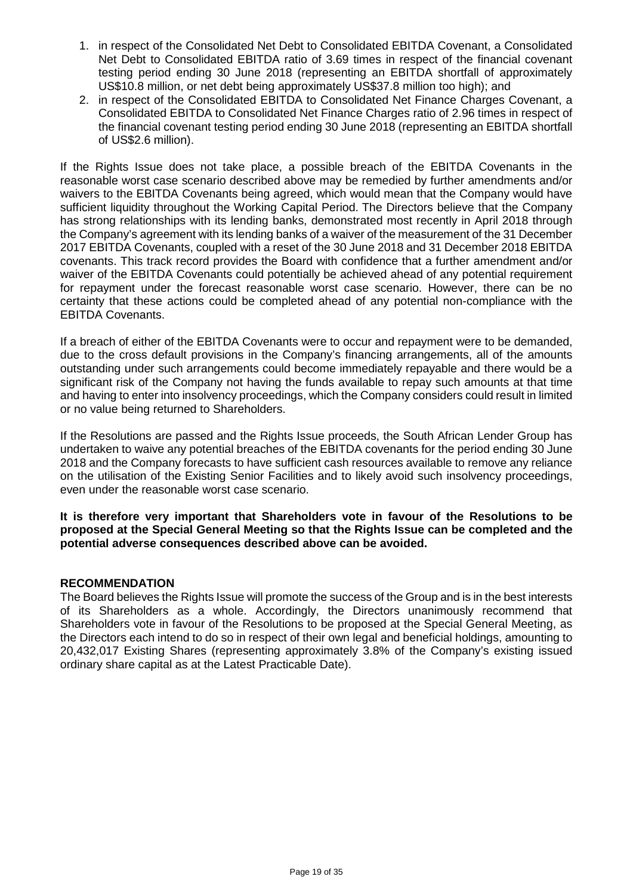- 1. in respect of the Consolidated Net Debt to Consolidated EBITDA Covenant, a Consolidated Net Debt to Consolidated EBITDA ratio of 3.69 times in respect of the financial covenant testing period ending 30 June 2018 (representing an EBITDA shortfall of approximately US\$10.8 million, or net debt being approximately US\$37.8 million too high); and
- 2. in respect of the Consolidated EBITDA to Consolidated Net Finance Charges Covenant, a Consolidated EBITDA to Consolidated Net Finance Charges ratio of 2.96 times in respect of the financial covenant testing period ending 30 June 2018 (representing an EBITDA shortfall of US\$2.6 million).

If the Rights Issue does not take place, a possible breach of the EBITDA Covenants in the reasonable worst case scenario described above may be remedied by further amendments and/or waivers to the EBITDA Covenants being agreed, which would mean that the Company would have sufficient liquidity throughout the Working Capital Period. The Directors believe that the Company has strong relationships with its lending banks, demonstrated most recently in April 2018 through the Company's agreement with its lending banks of a waiver of the measurement of the 31 December 2017 EBITDA Covenants, coupled with a reset of the 30 June 2018 and 31 December 2018 EBITDA covenants. This track record provides the Board with confidence that a further amendment and/or waiver of the EBITDA Covenants could potentially be achieved ahead of any potential requirement for repayment under the forecast reasonable worst case scenario. However, there can be no certainty that these actions could be completed ahead of any potential non-compliance with the EBITDA Covenants.

If a breach of either of the EBITDA Covenants were to occur and repayment were to be demanded, due to the cross default provisions in the Company's financing arrangements, all of the amounts outstanding under such arrangements could become immediately repayable and there would be a significant risk of the Company not having the funds available to repay such amounts at that time and having to enter into insolvency proceedings, which the Company considers could result in limited or no value being returned to Shareholders.

If the Resolutions are passed and the Rights Issue proceeds, the South African Lender Group has undertaken to waive any potential breaches of the EBITDA covenants for the period ending 30 June 2018 and the Company forecasts to have sufficient cash resources available to remove any reliance on the utilisation of the Existing Senior Facilities and to likely avoid such insolvency proceedings, even under the reasonable worst case scenario.

**It is therefore very important that Shareholders vote in favour of the Resolutions to be proposed at the Special General Meeting so that the Rights Issue can be completed and the potential adverse consequences described above can be avoided.**

### **RECOMMENDATION**

The Board believes the Rights Issue will promote the success of the Group and is in the best interests of its Shareholders as a whole. Accordingly, the Directors unanimously recommend that Shareholders vote in favour of the Resolutions to be proposed at the Special General Meeting, as the Directors each intend to do so in respect of their own legal and beneficial holdings, amounting to 20,432,017 Existing Shares (representing approximately 3.8% of the Company's existing issued ordinary share capital as at the Latest Practicable Date).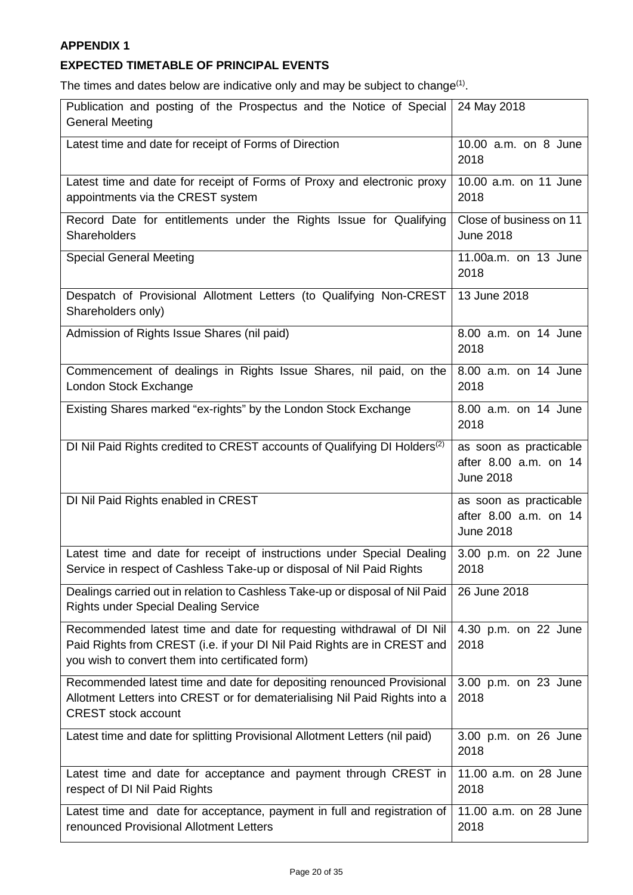# **APPENDIX 1**

## **EXPECTED TIMETABLE OF PRINCIPAL EVENTS**

The times and dates below are indicative only and may be subject to change<sup>(1)</sup>.

| Publication and posting of the Prospectus and the Notice of Special<br><b>General Meeting</b>                                                                                                        | 24 May 2018                                                         |
|------------------------------------------------------------------------------------------------------------------------------------------------------------------------------------------------------|---------------------------------------------------------------------|
| Latest time and date for receipt of Forms of Direction                                                                                                                                               | 10.00 a.m. on 8 June<br>2018                                        |
| Latest time and date for receipt of Forms of Proxy and electronic proxy<br>appointments via the CREST system                                                                                         | 10.00 a.m. on 11 June<br>2018                                       |
| Record Date for entitlements under the Rights Issue for Qualifying<br>Shareholders                                                                                                                   | Close of business on 11<br><b>June 2018</b>                         |
| <b>Special General Meeting</b>                                                                                                                                                                       | 11.00a.m. on 13 June<br>2018                                        |
| Despatch of Provisional Allotment Letters (to Qualifying Non-CREST<br>Shareholders only)                                                                                                             | 13 June 2018                                                        |
| Admission of Rights Issue Shares (nil paid)                                                                                                                                                          | 8.00 a.m. on 14 June<br>2018                                        |
| Commencement of dealings in Rights Issue Shares, nil paid, on the<br>London Stock Exchange                                                                                                           | 8.00 a.m. on 14 June<br>2018                                        |
| Existing Shares marked "ex-rights" by the London Stock Exchange                                                                                                                                      | 8.00 a.m. on 14 June<br>2018                                        |
| DI Nil Paid Rights credited to CREST accounts of Qualifying DI Holders <sup>(2)</sup>                                                                                                                | as soon as practicable<br>after 8.00 a.m. on 14<br><b>June 2018</b> |
| DI Nil Paid Rights enabled in CREST                                                                                                                                                                  | as soon as practicable<br>after 8.00 a.m. on 14<br><b>June 2018</b> |
| Latest time and date for receipt of instructions under Special Dealing<br>Service in respect of Cashless Take-up or disposal of Nil Paid Rights                                                      | 3.00 p.m. on 22 June<br>2018                                        |
| Dealings carried out in relation to Cashless Take-up or disposal of Nil Paid<br><b>Rights under Special Dealing Service</b>                                                                          | 26 June 2018                                                        |
| Recommended latest time and date for requesting withdrawal of DI Nil<br>Paid Rights from CREST (i.e. if your DI Nil Paid Rights are in CREST and<br>you wish to convert them into certificated form) | 4.30 p.m. on 22 June<br>2018                                        |
| Recommended latest time and date for depositing renounced Provisional<br>Allotment Letters into CREST or for dematerialising Nil Paid Rights into a<br><b>CREST stock account</b>                    | 3.00 p.m. on 23 June<br>2018                                        |
| Latest time and date for splitting Provisional Allotment Letters (nil paid)                                                                                                                          | 3.00 p.m. on 26 June<br>2018                                        |
| Latest time and date for acceptance and payment through CREST in<br>respect of DI Nil Paid Rights                                                                                                    | 11.00 a.m. on 28 June<br>2018                                       |
| Latest time and date for acceptance, payment in full and registration of<br>renounced Provisional Allotment Letters                                                                                  | 11.00 a.m. on 28 June<br>2018                                       |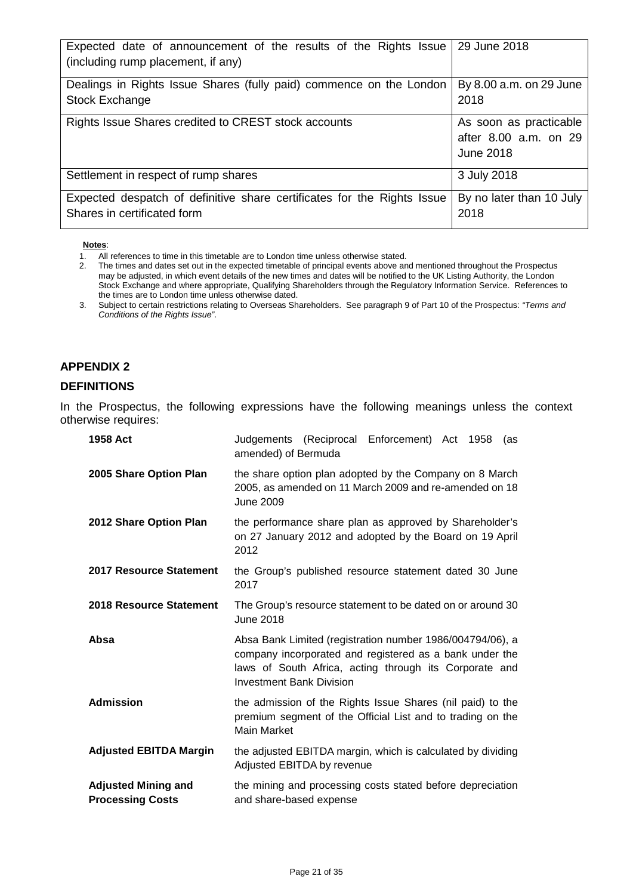| Expected date of announcement of the results of the Rights Issue 2018<br>(including rump placement, if any) |                                                              |
|-------------------------------------------------------------------------------------------------------------|--------------------------------------------------------------|
| Dealings in Rights Issue Shares (fully paid) commence on the London<br><b>Stock Exchange</b>                | By 8.00 a.m. on 29 June<br>2018                              |
| Rights Issue Shares credited to CREST stock accounts                                                        | As soon as practicable<br>after 8.00 a.m. on 29<br>June 2018 |
| Settlement in respect of rump shares                                                                        | 3 July 2018                                                  |
| Expected despatch of definitive share certificates for the Rights Issue<br>Shares in certificated form      | By no later than 10 July<br>2018                             |

#### **Notes**:

### **APPENDIX 2**

#### **DEFINITIONS**

In the Prospectus, the following expressions have the following meanings unless the context otherwise requires:

| 1958 Act                                              | Judgements (Reciprocal Enforcement) Act 1958<br>(as<br>amended) of Bermuda                                                                                                                                        |  |  |
|-------------------------------------------------------|-------------------------------------------------------------------------------------------------------------------------------------------------------------------------------------------------------------------|--|--|
| 2005 Share Option Plan                                | the share option plan adopted by the Company on 8 March<br>2005, as amended on 11 March 2009 and re-amended on 18<br>June 2009                                                                                    |  |  |
| 2012 Share Option Plan                                | the performance share plan as approved by Shareholder's<br>on 27 January 2012 and adopted by the Board on 19 April<br>2012                                                                                        |  |  |
| <b>2017 Resource Statement</b>                        | the Group's published resource statement dated 30 June<br>2017                                                                                                                                                    |  |  |
| 2018 Resource Statement                               | The Group's resource statement to be dated on or around 30<br>June 2018                                                                                                                                           |  |  |
| Absa                                                  | Absa Bank Limited (registration number 1986/004794/06), a<br>company incorporated and registered as a bank under the<br>laws of South Africa, acting through its Corporate and<br><b>Investment Bank Division</b> |  |  |
| <b>Admission</b>                                      | the admission of the Rights Issue Shares (nil paid) to the<br>premium segment of the Official List and to trading on the<br>Main Market                                                                           |  |  |
| <b>Adjusted EBITDA Margin</b>                         | the adjusted EBITDA margin, which is calculated by dividing<br>Adjusted EBITDA by revenue                                                                                                                         |  |  |
| <b>Adjusted Mining and</b><br><b>Processing Costs</b> | the mining and processing costs stated before depreciation<br>and share-based expense                                                                                                                             |  |  |

<sup>1.</sup> All references to time in this timetable are to London time unless otherwise stated.<br>2. The times and dates set out in the expected timetable of principal events above an

<sup>2.</sup> The times and dates set out in the expected timetable of principal events above and mentioned throughout the Prospectus may be adjusted, in which event details of the new times and dates will be notified to the UK Listing Authority, the London Stock Exchange and where appropriate, Qualifying Shareholders through the Regulatory Information Service. References to the times are to London time unless otherwise dated.

<sup>3.</sup> Subject to certain restrictions relating to Overseas Shareholders. See paragraph 9 of Part 10 of the Prospectus: *"Terms and Conditions of the Rights Issue"*.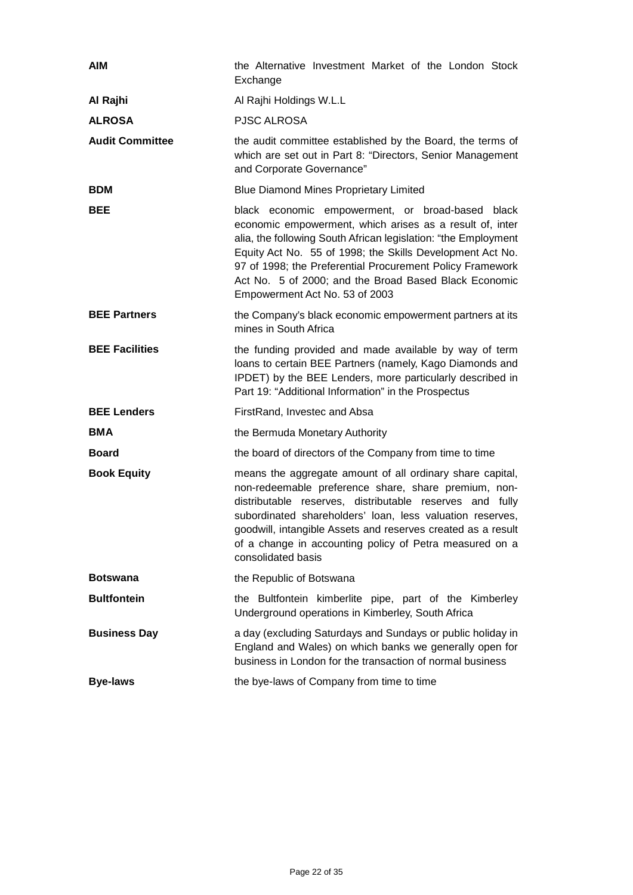| <b>AIM</b>             | the Alternative Investment Market of the London Stock<br>Exchange                                                                                                                                                                                                                                                                                                                                   |  |
|------------------------|-----------------------------------------------------------------------------------------------------------------------------------------------------------------------------------------------------------------------------------------------------------------------------------------------------------------------------------------------------------------------------------------------------|--|
| Al Rajhi               | Al Rajhi Holdings W.L.L                                                                                                                                                                                                                                                                                                                                                                             |  |
| <b>ALROSA</b>          | <b>PJSC ALROSA</b>                                                                                                                                                                                                                                                                                                                                                                                  |  |
| <b>Audit Committee</b> | the audit committee established by the Board, the terms of<br>which are set out in Part 8: "Directors, Senior Management<br>and Corporate Governance"                                                                                                                                                                                                                                               |  |
| <b>BDM</b>             | <b>Blue Diamond Mines Proprietary Limited</b>                                                                                                                                                                                                                                                                                                                                                       |  |
| <b>BEE</b>             | black economic empowerment, or broad-based black<br>economic empowerment, which arises as a result of, inter<br>alia, the following South African legislation: "the Employment<br>Equity Act No. 55 of 1998; the Skills Development Act No.<br>97 of 1998; the Preferential Procurement Policy Framework<br>Act No. 5 of 2000; and the Broad Based Black Economic<br>Empowerment Act No. 53 of 2003 |  |
| <b>BEE Partners</b>    | the Company's black economic empowerment partners at its<br>mines in South Africa                                                                                                                                                                                                                                                                                                                   |  |
| <b>BEE Facilities</b>  | the funding provided and made available by way of term<br>loans to certain BEE Partners (namely, Kago Diamonds and<br>IPDET) by the BEE Lenders, more particularly described in<br>Part 19: "Additional Information" in the Prospectus                                                                                                                                                              |  |
| <b>BEE Lenders</b>     | FirstRand, Investec and Absa                                                                                                                                                                                                                                                                                                                                                                        |  |
| <b>BMA</b>             | the Bermuda Monetary Authority                                                                                                                                                                                                                                                                                                                                                                      |  |
| <b>Board</b>           | the board of directors of the Company from time to time                                                                                                                                                                                                                                                                                                                                             |  |
| <b>Book Equity</b>     | means the aggregate amount of all ordinary share capital,<br>non-redeemable preference share, share premium, non-<br>distributable reserves, distributable reserves and fully<br>subordinated shareholders' loan, less valuation reserves,<br>goodwill, intangible Assets and reserves created as a result<br>of a change in accounting policy of Petra measured on a<br>consolidated basis         |  |
| <b>Botswana</b>        | the Republic of Botswana                                                                                                                                                                                                                                                                                                                                                                            |  |
| <b>Bultfontein</b>     | the Bultfontein kimberlite pipe, part of the Kimberley<br>Underground operations in Kimberley, South Africa                                                                                                                                                                                                                                                                                         |  |
| <b>Business Day</b>    | a day (excluding Saturdays and Sundays or public holiday in<br>England and Wales) on which banks we generally open for<br>business in London for the transaction of normal business                                                                                                                                                                                                                 |  |
| <b>Bye-laws</b>        | the bye-laws of Company from time to time                                                                                                                                                                                                                                                                                                                                                           |  |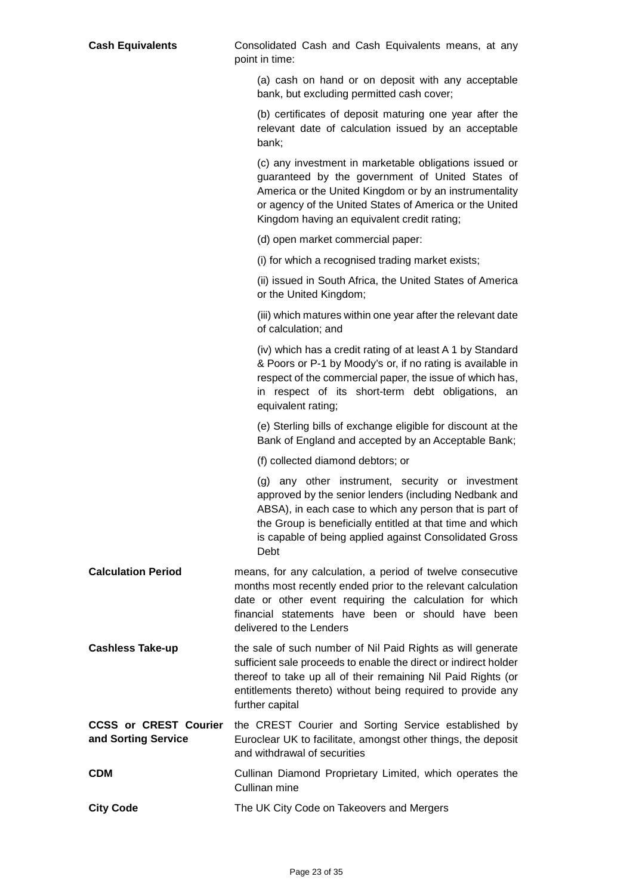| <b>Cash Equivalents</b>                             | Consolidated Cash and Cash Equivalents means, at any<br>point in time:                                                                                                                                                                                                                              |
|-----------------------------------------------------|-----------------------------------------------------------------------------------------------------------------------------------------------------------------------------------------------------------------------------------------------------------------------------------------------------|
|                                                     | (a) cash on hand or on deposit with any acceptable<br>bank, but excluding permitted cash cover;                                                                                                                                                                                                     |
|                                                     | (b) certificates of deposit maturing one year after the<br>relevant date of calculation issued by an acceptable<br>bank;                                                                                                                                                                            |
|                                                     | (c) any investment in marketable obligations issued or<br>guaranteed by the government of United States of<br>America or the United Kingdom or by an instrumentality<br>or agency of the United States of America or the United<br>Kingdom having an equivalent credit rating;                      |
|                                                     | (d) open market commercial paper:                                                                                                                                                                                                                                                                   |
|                                                     | (i) for which a recognised trading market exists;                                                                                                                                                                                                                                                   |
|                                                     | (ii) issued in South Africa, the United States of America<br>or the United Kingdom;                                                                                                                                                                                                                 |
|                                                     | (iii) which matures within one year after the relevant date<br>of calculation; and                                                                                                                                                                                                                  |
|                                                     | (iv) which has a credit rating of at least A 1 by Standard<br>& Poors or P-1 by Moody's or, if no rating is available in<br>respect of the commercial paper, the issue of which has,<br>in respect of its short-term debt obligations, an<br>equivalent rating;                                     |
|                                                     | (e) Sterling bills of exchange eligible for discount at the<br>Bank of England and accepted by an Acceptable Bank;                                                                                                                                                                                  |
|                                                     | (f) collected diamond debtors; or                                                                                                                                                                                                                                                                   |
|                                                     | (g) any other instrument, security or investment<br>approved by the senior lenders (including Nedbank and<br>ABSA), in each case to which any person that is part of<br>the Group is beneficially entitled at that time and which<br>is capable of being applied against Consolidated Gross<br>Debt |
| <b>Calculation Period</b>                           | means, for any calculation, a period of twelve consecutive<br>months most recently ended prior to the relevant calculation<br>date or other event requiring the calculation for which<br>financial statements have been or should have been<br>delivered to the Lenders                             |
| <b>Cashless Take-up</b>                             | the sale of such number of Nil Paid Rights as will generate<br>sufficient sale proceeds to enable the direct or indirect holder<br>thereof to take up all of their remaining Nil Paid Rights (or<br>entitlements thereto) without being required to provide any<br>further capital                  |
| <b>CCSS or CREST Courier</b><br>and Sorting Service | the CREST Courier and Sorting Service established by<br>Euroclear UK to facilitate, amongst other things, the deposit<br>and withdrawal of securities                                                                                                                                               |
| <b>CDM</b>                                          | Cullinan Diamond Proprietary Limited, which operates the<br>Cullinan mine                                                                                                                                                                                                                           |
| <b>City Code</b>                                    | The UK City Code on Takeovers and Mergers                                                                                                                                                                                                                                                           |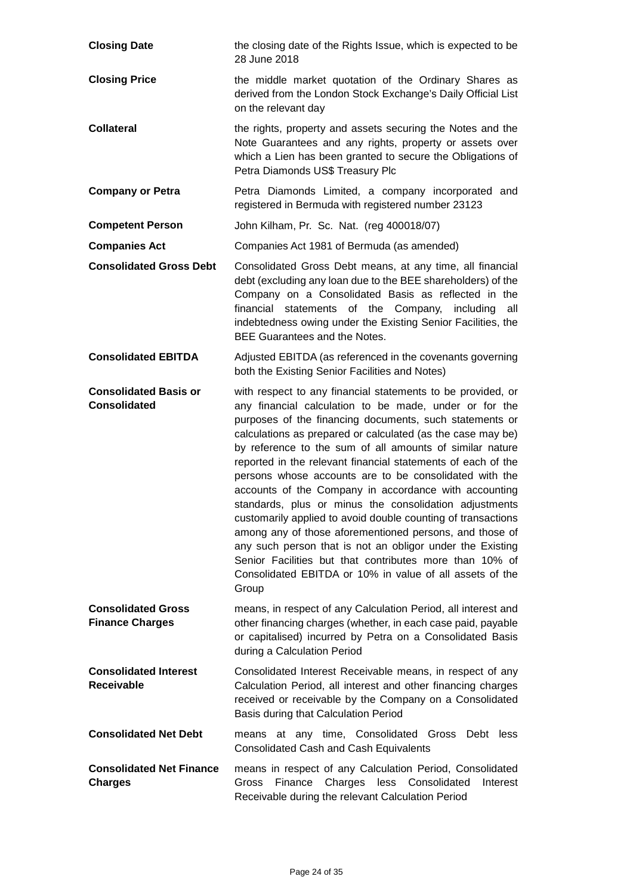| <b>Closing Date</b>                                 | the closing date of the Rights Issue, which is expected to be<br>28 June 2018                                                                                                                                                                                                                                                                                                                                                                                                                                                                                                                                                                                                                                                                                                                                                                                                    |
|-----------------------------------------------------|----------------------------------------------------------------------------------------------------------------------------------------------------------------------------------------------------------------------------------------------------------------------------------------------------------------------------------------------------------------------------------------------------------------------------------------------------------------------------------------------------------------------------------------------------------------------------------------------------------------------------------------------------------------------------------------------------------------------------------------------------------------------------------------------------------------------------------------------------------------------------------|
| <b>Closing Price</b>                                | the middle market quotation of the Ordinary Shares as<br>derived from the London Stock Exchange's Daily Official List<br>on the relevant day                                                                                                                                                                                                                                                                                                                                                                                                                                                                                                                                                                                                                                                                                                                                     |
| <b>Collateral</b>                                   | the rights, property and assets securing the Notes and the<br>Note Guarantees and any rights, property or assets over<br>which a Lien has been granted to secure the Obligations of<br>Petra Diamonds US\$ Treasury Plc                                                                                                                                                                                                                                                                                                                                                                                                                                                                                                                                                                                                                                                          |
| <b>Company or Petra</b>                             | Petra Diamonds Limited, a company incorporated and<br>registered in Bermuda with registered number 23123                                                                                                                                                                                                                                                                                                                                                                                                                                                                                                                                                                                                                                                                                                                                                                         |
| <b>Competent Person</b>                             | John Kilham, Pr. Sc. Nat. (reg 400018/07)                                                                                                                                                                                                                                                                                                                                                                                                                                                                                                                                                                                                                                                                                                                                                                                                                                        |
| <b>Companies Act</b>                                | Companies Act 1981 of Bermuda (as amended)                                                                                                                                                                                                                                                                                                                                                                                                                                                                                                                                                                                                                                                                                                                                                                                                                                       |
| <b>Consolidated Gross Debt</b>                      | Consolidated Gross Debt means, at any time, all financial<br>debt (excluding any loan due to the BEE shareholders) of the<br>Company on a Consolidated Basis as reflected in the<br>financial statements of the Company, including<br>all<br>indebtedness owing under the Existing Senior Facilities, the<br><b>BEE Guarantees and the Notes.</b>                                                                                                                                                                                                                                                                                                                                                                                                                                                                                                                                |
| <b>Consolidated EBITDA</b>                          | Adjusted EBITDA (as referenced in the covenants governing<br>both the Existing Senior Facilities and Notes)                                                                                                                                                                                                                                                                                                                                                                                                                                                                                                                                                                                                                                                                                                                                                                      |
| <b>Consolidated Basis or</b><br><b>Consolidated</b> | with respect to any financial statements to be provided, or<br>any financial calculation to be made, under or for the<br>purposes of the financing documents, such statements or<br>calculations as prepared or calculated (as the case may be)<br>by reference to the sum of all amounts of similar nature<br>reported in the relevant financial statements of each of the<br>persons whose accounts are to be consolidated with the<br>accounts of the Company in accordance with accounting<br>standards, plus or minus the consolidation adjustments<br>customarily applied to avoid double counting of transactions<br>among any of those aforementioned persons, and those of<br>any such person that is not an obligor under the Existing<br>Senior Facilities but that contributes more than 10% of<br>Consolidated EBITDA or 10% in value of all assets of the<br>Group |
| <b>Consolidated Gross</b><br><b>Finance Charges</b> | means, in respect of any Calculation Period, all interest and<br>other financing charges (whether, in each case paid, payable<br>or capitalised) incurred by Petra on a Consolidated Basis<br>during a Calculation Period                                                                                                                                                                                                                                                                                                                                                                                                                                                                                                                                                                                                                                                        |
| <b>Consolidated Interest</b><br><b>Receivable</b>   | Consolidated Interest Receivable means, in respect of any<br>Calculation Period, all interest and other financing charges<br>received or receivable by the Company on a Consolidated<br>Basis during that Calculation Period                                                                                                                                                                                                                                                                                                                                                                                                                                                                                                                                                                                                                                                     |
| <b>Consolidated Net Debt</b>                        | means at any time, Consolidated Gross<br>Debt less<br><b>Consolidated Cash and Cash Equivalents</b>                                                                                                                                                                                                                                                                                                                                                                                                                                                                                                                                                                                                                                                                                                                                                                              |
| <b>Consolidated Net Finance</b><br><b>Charges</b>   | means in respect of any Calculation Period, Consolidated<br>Finance<br>less<br>Consolidated<br>Gross<br>Charges<br>Interest<br>Receivable during the relevant Calculation Period                                                                                                                                                                                                                                                                                                                                                                                                                                                                                                                                                                                                                                                                                                 |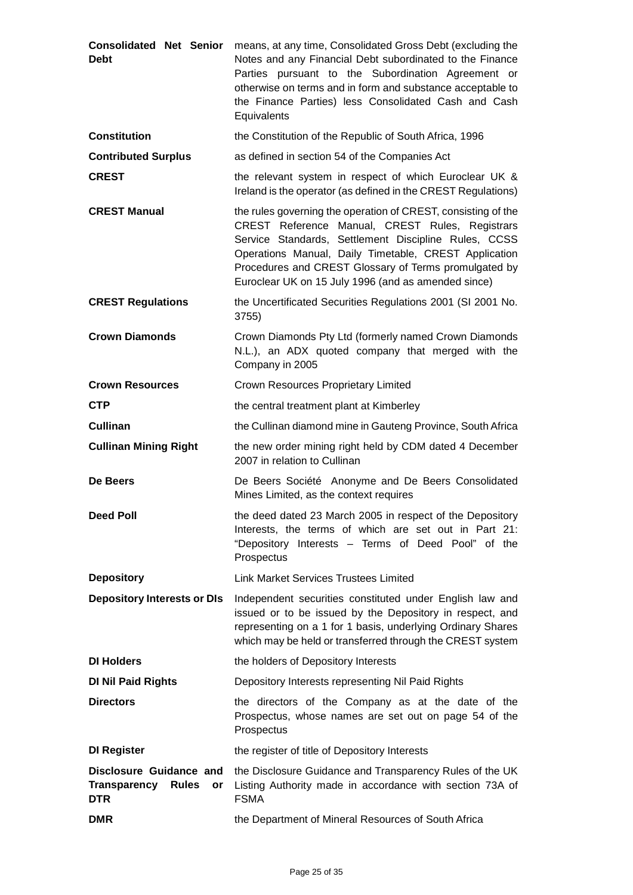| <b>Consolidated Net Senior</b><br><b>Debt</b>                                      | means, at any time, Consolidated Gross Debt (excluding the<br>Notes and any Financial Debt subordinated to the Finance<br>Parties pursuant to the Subordination Agreement or<br>otherwise on terms and in form and substance acceptable to<br>the Finance Parties) less Consolidated Cash and Cash<br>Equivalents                                 |
|------------------------------------------------------------------------------------|---------------------------------------------------------------------------------------------------------------------------------------------------------------------------------------------------------------------------------------------------------------------------------------------------------------------------------------------------|
| <b>Constitution</b>                                                                | the Constitution of the Republic of South Africa, 1996                                                                                                                                                                                                                                                                                            |
| <b>Contributed Surplus</b>                                                         | as defined in section 54 of the Companies Act                                                                                                                                                                                                                                                                                                     |
| <b>CREST</b>                                                                       | the relevant system in respect of which Euroclear UK &<br>Ireland is the operator (as defined in the CREST Regulations)                                                                                                                                                                                                                           |
| <b>CREST Manual</b>                                                                | the rules governing the operation of CREST, consisting of the<br>CREST Reference Manual, CREST Rules, Registrars<br>Service Standards, Settlement Discipline Rules, CCSS<br>Operations Manual, Daily Timetable, CREST Application<br>Procedures and CREST Glossary of Terms promulgated by<br>Euroclear UK on 15 July 1996 (and as amended since) |
| <b>CREST Regulations</b>                                                           | the Uncertificated Securities Regulations 2001 (SI 2001 No.<br>3755)                                                                                                                                                                                                                                                                              |
| <b>Crown Diamonds</b>                                                              | Crown Diamonds Pty Ltd (formerly named Crown Diamonds<br>N.L.), an ADX quoted company that merged with the<br>Company in 2005                                                                                                                                                                                                                     |
| <b>Crown Resources</b>                                                             | <b>Crown Resources Proprietary Limited</b>                                                                                                                                                                                                                                                                                                        |
| <b>CTP</b>                                                                         | the central treatment plant at Kimberley                                                                                                                                                                                                                                                                                                          |
| <b>Cullinan</b>                                                                    | the Cullinan diamond mine in Gauteng Province, South Africa                                                                                                                                                                                                                                                                                       |
| <b>Cullinan Mining Right</b>                                                       | the new order mining right held by CDM dated 4 December<br>2007 in relation to Cullinan                                                                                                                                                                                                                                                           |
| De Beers                                                                           | De Beers Société Anonyme and De Beers Consolidated<br>Mines Limited, as the context requires                                                                                                                                                                                                                                                      |
| <b>Deed Poll</b>                                                                   | the deed dated 23 March 2005 in respect of the Depository<br>Interests, the terms of which are set out in Part 21:<br>"Depository Interests - Terms of Deed Pool" of the<br>Prospectus                                                                                                                                                            |
| <b>Depository</b>                                                                  | <b>Link Market Services Trustees Limited</b>                                                                                                                                                                                                                                                                                                      |
| <b>Depository Interests or DIs</b>                                                 | Independent securities constituted under English law and<br>issued or to be issued by the Depository in respect, and<br>representing on a 1 for 1 basis, underlying Ordinary Shares<br>which may be held or transferred through the CREST system                                                                                                  |
| <b>DI Holders</b>                                                                  | the holders of Depository Interests                                                                                                                                                                                                                                                                                                               |
| <b>DI Nil Paid Rights</b>                                                          | Depository Interests representing Nil Paid Rights                                                                                                                                                                                                                                                                                                 |
| <b>Directors</b>                                                                   | the directors of the Company as at the date of the<br>Prospectus, whose names are set out on page 54 of the<br>Prospectus                                                                                                                                                                                                                         |
| <b>DI Register</b>                                                                 | the register of title of Depository Interests                                                                                                                                                                                                                                                                                                     |
| Disclosure Guidance and<br><b>Transparency</b><br><b>Rules</b><br>or<br><b>DTR</b> | the Disclosure Guidance and Transparency Rules of the UK<br>Listing Authority made in accordance with section 73A of<br><b>FSMA</b>                                                                                                                                                                                                               |
| <b>DMR</b>                                                                         | the Department of Mineral Resources of South Africa                                                                                                                                                                                                                                                                                               |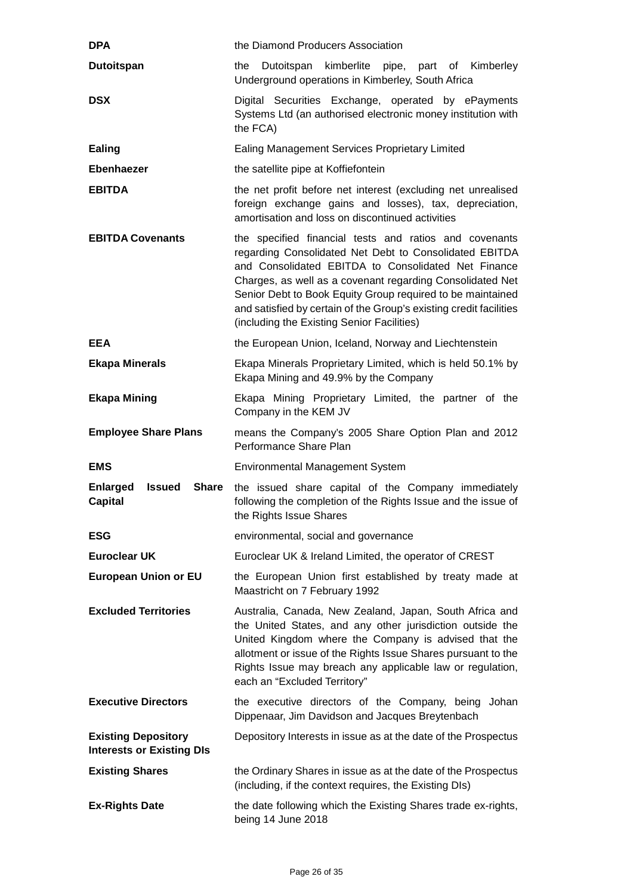| <b>DPA</b>                                                     | the Diamond Producers Association                                                                                                                                                                                                                                                                                                                                                                                      |
|----------------------------------------------------------------|------------------------------------------------------------------------------------------------------------------------------------------------------------------------------------------------------------------------------------------------------------------------------------------------------------------------------------------------------------------------------------------------------------------------|
| <b>Dutoitspan</b>                                              | the<br>Dutoitspan<br>kimberlite pipe, part of Kimberley<br>Underground operations in Kimberley, South Africa                                                                                                                                                                                                                                                                                                           |
| <b>DSX</b>                                                     | Digital Securities Exchange, operated by ePayments<br>Systems Ltd (an authorised electronic money institution with<br>the FCA)                                                                                                                                                                                                                                                                                         |
| Ealing                                                         | <b>Ealing Management Services Proprietary Limited</b>                                                                                                                                                                                                                                                                                                                                                                  |
| Ebenhaezer                                                     | the satellite pipe at Koffiefontein                                                                                                                                                                                                                                                                                                                                                                                    |
| <b>EBITDA</b>                                                  | the net profit before net interest (excluding net unrealised<br>foreign exchange gains and losses), tax, depreciation,<br>amortisation and loss on discontinued activities                                                                                                                                                                                                                                             |
| <b>EBITDA Covenants</b>                                        | the specified financial tests and ratios and covenants<br>regarding Consolidated Net Debt to Consolidated EBITDA<br>and Consolidated EBITDA to Consolidated Net Finance<br>Charges, as well as a covenant regarding Consolidated Net<br>Senior Debt to Book Equity Group required to be maintained<br>and satisfied by certain of the Group's existing credit facilities<br>(including the Existing Senior Facilities) |
| <b>EEA</b>                                                     | the European Union, Iceland, Norway and Liechtenstein                                                                                                                                                                                                                                                                                                                                                                  |
| <b>Ekapa Minerals</b>                                          | Ekapa Minerals Proprietary Limited, which is held 50.1% by<br>Ekapa Mining and 49.9% by the Company                                                                                                                                                                                                                                                                                                                    |
| <b>Ekapa Mining</b>                                            | Ekapa Mining Proprietary Limited, the partner of the<br>Company in the KEM JV                                                                                                                                                                                                                                                                                                                                          |
| <b>Employee Share Plans</b>                                    | means the Company's 2005 Share Option Plan and 2012<br>Performance Share Plan                                                                                                                                                                                                                                                                                                                                          |
| <b>EMS</b>                                                     | <b>Environmental Management System</b>                                                                                                                                                                                                                                                                                                                                                                                 |
| <b>Enlarged</b><br>Issued<br><b>Share</b><br><b>Capital</b>    | the issued share capital of the Company immediately<br>following the completion of the Rights Issue and the issue of<br>the Rights Issue Shares                                                                                                                                                                                                                                                                        |
| <b>ESG</b>                                                     | environmental, social and governance                                                                                                                                                                                                                                                                                                                                                                                   |
| <b>Euroclear UK</b>                                            | Euroclear UK & Ireland Limited, the operator of CREST                                                                                                                                                                                                                                                                                                                                                                  |
| <b>European Union or EU</b>                                    | the European Union first established by treaty made at<br>Maastricht on 7 February 1992                                                                                                                                                                                                                                                                                                                                |
| <b>Excluded Territories</b>                                    | Australia, Canada, New Zealand, Japan, South Africa and<br>the United States, and any other jurisdiction outside the<br>United Kingdom where the Company is advised that the<br>allotment or issue of the Rights Issue Shares pursuant to the<br>Rights Issue may breach any applicable law or regulation,<br>each an "Excluded Territory"                                                                             |
| <b>Executive Directors</b>                                     | the executive directors of the Company, being Johan<br>Dippenaar, Jim Davidson and Jacques Breytenbach                                                                                                                                                                                                                                                                                                                 |
| <b>Existing Depository</b><br><b>Interests or Existing DIs</b> | Depository Interests in issue as at the date of the Prospectus                                                                                                                                                                                                                                                                                                                                                         |
| <b>Existing Shares</b>                                         | the Ordinary Shares in issue as at the date of the Prospectus<br>(including, if the context requires, the Existing DIs)                                                                                                                                                                                                                                                                                                |
| <b>Ex-Rights Date</b>                                          | the date following which the Existing Shares trade ex-rights,<br>being 14 June 2018                                                                                                                                                                                                                                                                                                                                    |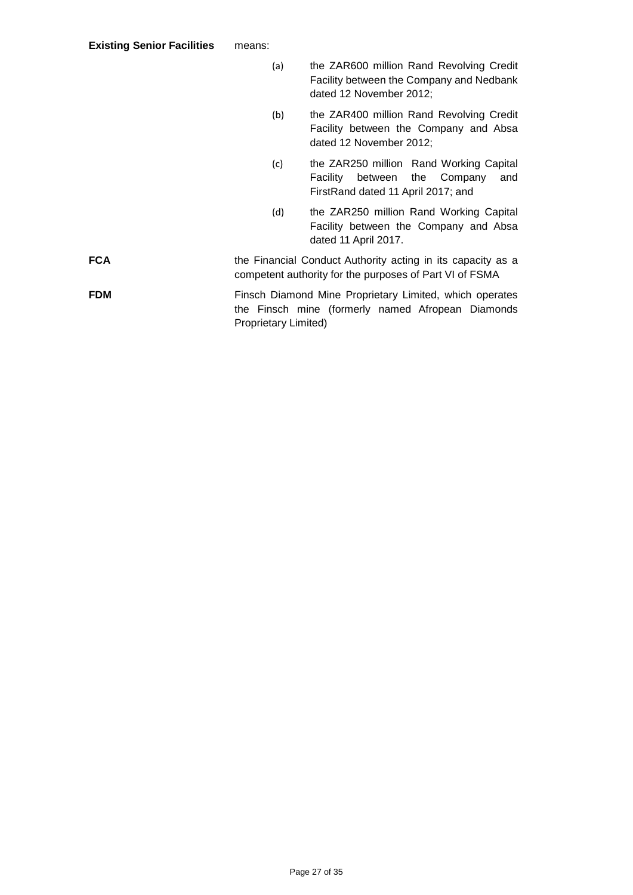|            | (a)                  | the ZAR600 million Rand Revolving Credit<br>Facility between the Company and Nedbank<br>dated 12 November 2012;         |
|------------|----------------------|-------------------------------------------------------------------------------------------------------------------------|
|            | (b)                  | the ZAR400 million Rand Revolving Credit<br>Facility between the Company and Absa<br>dated 12 November 2012;            |
|            | (c)                  | the ZAR250 million Rand Working Capital<br>between the Company<br>Facility<br>and<br>FirstRand dated 11 April 2017; and |
|            | (d)                  | the ZAR250 million Rand Working Capital<br>Facility between the Company and Absa<br>dated 11 April 2017.                |
| FCA        |                      | the Financial Conduct Authority acting in its capacity as a<br>competent authority for the purposes of Part VI of FSMA  |
| <b>FDM</b> | Proprietary Limited) | Finsch Diamond Mine Proprietary Limited, which operates<br>the Finsch mine (formerly named Afropean Diamonds            |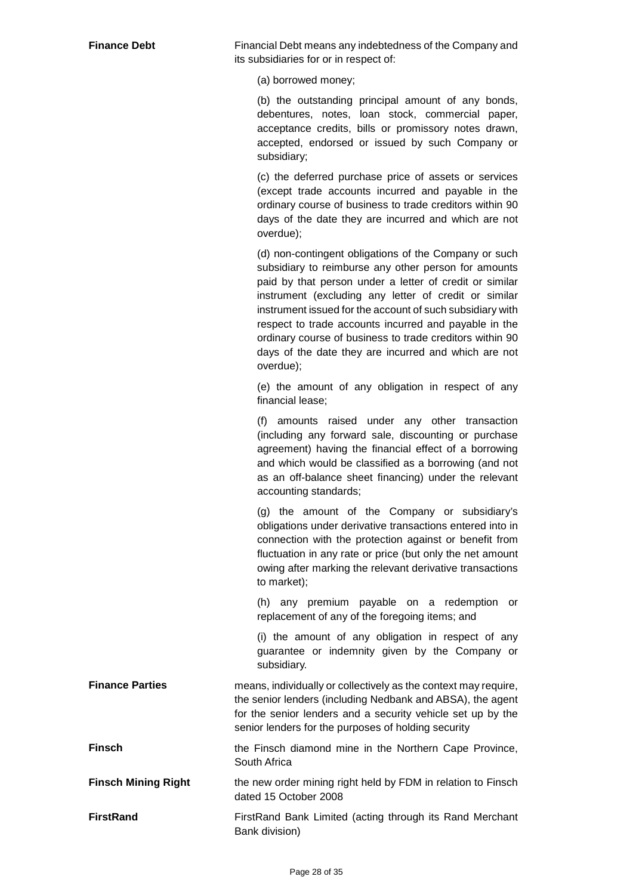**Finance Debt** Financial Debt means any indebtedness of the Company and its subsidiaries for or in respect of:

(a) borrowed money;

(b) the outstanding principal amount of any bonds, debentures, notes, loan stock, commercial paper, acceptance credits, bills or promissory notes drawn, accepted, endorsed or issued by such Company or subsidiary;

(c) the deferred purchase price of assets or services (except trade accounts incurred and payable in the ordinary course of business to trade creditors within 90 days of the date they are incurred and which are not overdue);

(d) non-contingent obligations of the Company or such subsidiary to reimburse any other person for amounts paid by that person under a letter of credit or similar instrument (excluding any letter of credit or similar instrument issued for the account of such subsidiary with respect to trade accounts incurred and payable in the ordinary course of business to trade creditors within 90 days of the date they are incurred and which are not overdue);

(e) the amount of any obligation in respect of any financial lease;

(f) amounts raised under any other transaction (including any forward sale, discounting or purchase agreement) having the financial effect of a borrowing and which would be classified as a borrowing (and not as an off-balance sheet financing) under the relevant accounting standards;

(g) the amount of the Company or subsidiary's obligations under derivative transactions entered into in connection with the protection against or benefit from fluctuation in any rate or price (but only the net amount owing after marking the relevant derivative transactions to market);

(h) any premium payable on a redemption or replacement of any of the foregoing items; and

(i) the amount of any obligation in respect of any guarantee or indemnity given by the Company or subsidiary.

**Finance Parties means, individually or collectively as the context may require,** the senior lenders (including Nedbank and ABSA), the agent for the senior lenders and a security vehicle set up by the senior lenders for the purposes of holding security

**Finsch** the Finsch diamond mine in the Northern Cape Province, South Africa

**Finsch Mining Right** the new order mining right held by FDM in relation to Finsch dated 15 October 2008

**FirstRand** FirstRand Bank Limited (acting through its Rand Merchant Bank division)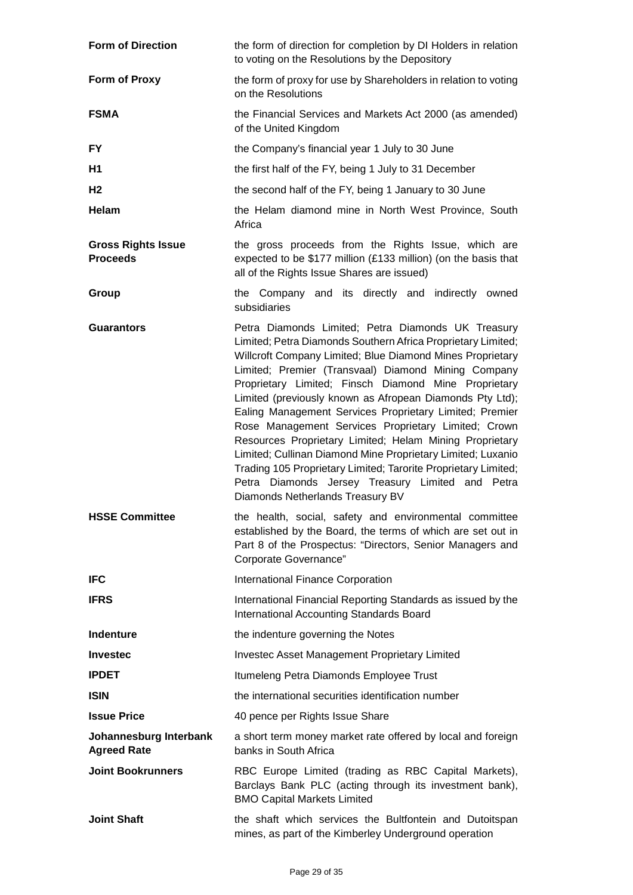| <b>Form of Direction</b>                     | the form of direction for completion by DI Holders in relation<br>to voting on the Resolutions by the Depository                                                                                                                                                                                                                                                                                                                                                                                                                                                                                                                                                                                                                                                 |
|----------------------------------------------|------------------------------------------------------------------------------------------------------------------------------------------------------------------------------------------------------------------------------------------------------------------------------------------------------------------------------------------------------------------------------------------------------------------------------------------------------------------------------------------------------------------------------------------------------------------------------------------------------------------------------------------------------------------------------------------------------------------------------------------------------------------|
| Form of Proxy                                | the form of proxy for use by Shareholders in relation to voting<br>on the Resolutions                                                                                                                                                                                                                                                                                                                                                                                                                                                                                                                                                                                                                                                                            |
| <b>FSMA</b>                                  | the Financial Services and Markets Act 2000 (as amended)<br>of the United Kingdom                                                                                                                                                                                                                                                                                                                                                                                                                                                                                                                                                                                                                                                                                |
| <b>FY</b>                                    | the Company's financial year 1 July to 30 June                                                                                                                                                                                                                                                                                                                                                                                                                                                                                                                                                                                                                                                                                                                   |
| H1                                           | the first half of the FY, being 1 July to 31 December                                                                                                                                                                                                                                                                                                                                                                                                                                                                                                                                                                                                                                                                                                            |
| H <sub>2</sub>                               | the second half of the FY, being 1 January to 30 June                                                                                                                                                                                                                                                                                                                                                                                                                                                                                                                                                                                                                                                                                                            |
| Helam                                        | the Helam diamond mine in North West Province, South<br>Africa                                                                                                                                                                                                                                                                                                                                                                                                                                                                                                                                                                                                                                                                                                   |
| <b>Gross Rights Issue</b><br><b>Proceeds</b> | the gross proceeds from the Rights Issue, which are<br>expected to be \$177 million (£133 million) (on the basis that<br>all of the Rights Issue Shares are issued)                                                                                                                                                                                                                                                                                                                                                                                                                                                                                                                                                                                              |
| Group                                        | the Company and its directly and indirectly<br>owned<br>subsidiaries                                                                                                                                                                                                                                                                                                                                                                                                                                                                                                                                                                                                                                                                                             |
| <b>Guarantors</b>                            | Petra Diamonds Limited; Petra Diamonds UK Treasury<br>Limited; Petra Diamonds Southern Africa Proprietary Limited;<br>Willcroft Company Limited; Blue Diamond Mines Proprietary<br>Limited; Premier (Transvaal) Diamond Mining Company<br>Proprietary Limited; Finsch Diamond Mine Proprietary<br>Limited (previously known as Afropean Diamonds Pty Ltd);<br>Ealing Management Services Proprietary Limited; Premier<br>Rose Management Services Proprietary Limited; Crown<br>Resources Proprietary Limited; Helam Mining Proprietary<br>Limited; Cullinan Diamond Mine Proprietary Limited; Luxanio<br>Trading 105 Proprietary Limited; Tarorite Proprietary Limited;<br>Petra Diamonds Jersey Treasury Limited and Petra<br>Diamonds Netherlands Treasury BV |
| <b>HSSE Committee</b>                        | the health, social, safety and environmental committee<br>established by the Board, the terms of which are set out in<br>Part 8 of the Prospectus: "Directors, Senior Managers and<br>Corporate Governance"                                                                                                                                                                                                                                                                                                                                                                                                                                                                                                                                                      |
| <b>IFC</b>                                   | <b>International Finance Corporation</b>                                                                                                                                                                                                                                                                                                                                                                                                                                                                                                                                                                                                                                                                                                                         |
| <b>IFRS</b>                                  | International Financial Reporting Standards as issued by the<br><b>International Accounting Standards Board</b>                                                                                                                                                                                                                                                                                                                                                                                                                                                                                                                                                                                                                                                  |
| <b>Indenture</b>                             | the indenture governing the Notes                                                                                                                                                                                                                                                                                                                                                                                                                                                                                                                                                                                                                                                                                                                                |
| <b>Investec</b>                              | <b>Investec Asset Management Proprietary Limited</b>                                                                                                                                                                                                                                                                                                                                                                                                                                                                                                                                                                                                                                                                                                             |
| <b>IPDET</b>                                 | Itumeleng Petra Diamonds Employee Trust                                                                                                                                                                                                                                                                                                                                                                                                                                                                                                                                                                                                                                                                                                                          |
| <b>ISIN</b>                                  | the international securities identification number                                                                                                                                                                                                                                                                                                                                                                                                                                                                                                                                                                                                                                                                                                               |
| <b>Issue Price</b>                           | 40 pence per Rights Issue Share                                                                                                                                                                                                                                                                                                                                                                                                                                                                                                                                                                                                                                                                                                                                  |
| Johannesburg Interbank<br><b>Agreed Rate</b> | a short term money market rate offered by local and foreign<br>banks in South Africa                                                                                                                                                                                                                                                                                                                                                                                                                                                                                                                                                                                                                                                                             |
| <b>Joint Bookrunners</b>                     | RBC Europe Limited (trading as RBC Capital Markets),<br>Barclays Bank PLC (acting through its investment bank),<br><b>BMO Capital Markets Limited</b>                                                                                                                                                                                                                                                                                                                                                                                                                                                                                                                                                                                                            |
| <b>Joint Shaft</b>                           | the shaft which services the Bultfontein and Dutoitspan<br>mines, as part of the Kimberley Underground operation                                                                                                                                                                                                                                                                                                                                                                                                                                                                                                                                                                                                                                                 |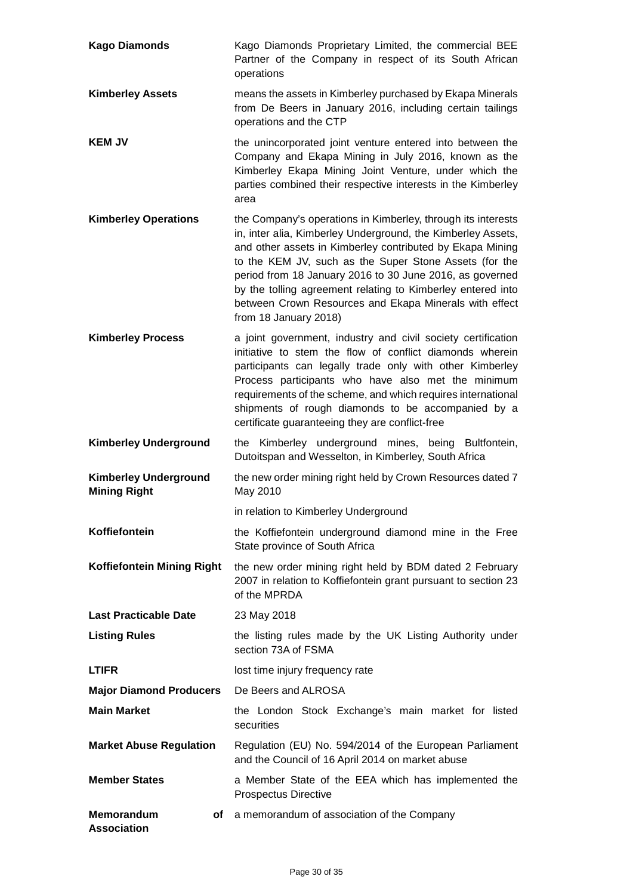| <b>Kago Diamonds</b>                                | Kago Diamonds Proprietary Limited, the commercial BEE<br>Partner of the Company in respect of its South African<br>operations                                                                                                                                                                                                                                                                                                                                     |  |  |
|-----------------------------------------------------|-------------------------------------------------------------------------------------------------------------------------------------------------------------------------------------------------------------------------------------------------------------------------------------------------------------------------------------------------------------------------------------------------------------------------------------------------------------------|--|--|
| <b>Kimberley Assets</b>                             | means the assets in Kimberley purchased by Ekapa Minerals<br>from De Beers in January 2016, including certain tailings<br>operations and the CTP                                                                                                                                                                                                                                                                                                                  |  |  |
| <b>KEM JV</b>                                       | the unincorporated joint venture entered into between the<br>Company and Ekapa Mining in July 2016, known as the<br>Kimberley Ekapa Mining Joint Venture, under which the<br>parties combined their respective interests in the Kimberley<br>area                                                                                                                                                                                                                 |  |  |
| <b>Kimberley Operations</b>                         | the Company's operations in Kimberley, through its interests<br>in, inter alia, Kimberley Underground, the Kimberley Assets,<br>and other assets in Kimberley contributed by Ekapa Mining<br>to the KEM JV, such as the Super Stone Assets (for the<br>period from 18 January 2016 to 30 June 2016, as governed<br>by the tolling agreement relating to Kimberley entered into<br>between Crown Resources and Ekapa Minerals with effect<br>from 18 January 2018) |  |  |
| <b>Kimberley Process</b>                            | a joint government, industry and civil society certification<br>initiative to stem the flow of conflict diamonds wherein<br>participants can legally trade only with other Kimberley<br>Process participants who have also met the minimum<br>requirements of the scheme, and which requires international<br>shipments of rough diamonds to be accompanied by a<br>certificate guaranteeing they are conflict-free                                               |  |  |
| <b>Kimberley Underground</b>                        | Kimberley underground mines, being Bultfontein,<br>the<br>Dutoitspan and Wesselton, in Kimberley, South Africa                                                                                                                                                                                                                                                                                                                                                    |  |  |
| <b>Kimberley Underground</b><br><b>Mining Right</b> | the new order mining right held by Crown Resources dated 7<br>May 2010                                                                                                                                                                                                                                                                                                                                                                                            |  |  |
|                                                     | in relation to Kimberley Underground                                                                                                                                                                                                                                                                                                                                                                                                                              |  |  |
| Koffiefontein                                       | the Koffiefontein underground diamond mine in the Free<br>State province of South Africa                                                                                                                                                                                                                                                                                                                                                                          |  |  |
| Koffiefontein Mining Right                          | the new order mining right held by BDM dated 2 February<br>2007 in relation to Koffiefontein grant pursuant to section 23<br>of the MPRDA                                                                                                                                                                                                                                                                                                                         |  |  |
| <b>Last Practicable Date</b>                        | 23 May 2018                                                                                                                                                                                                                                                                                                                                                                                                                                                       |  |  |
| <b>Listing Rules</b>                                | the listing rules made by the UK Listing Authority under<br>section 73A of FSMA                                                                                                                                                                                                                                                                                                                                                                                   |  |  |
| <b>LTIFR</b>                                        | lost time injury frequency rate                                                                                                                                                                                                                                                                                                                                                                                                                                   |  |  |
| <b>Major Diamond Producers</b>                      | De Beers and ALROSA                                                                                                                                                                                                                                                                                                                                                                                                                                               |  |  |
| <b>Main Market</b>                                  | the London Stock Exchange's main market for listed<br>securities                                                                                                                                                                                                                                                                                                                                                                                                  |  |  |
| <b>Market Abuse Regulation</b>                      | Regulation (EU) No. 594/2014 of the European Parliament<br>and the Council of 16 April 2014 on market abuse                                                                                                                                                                                                                                                                                                                                                       |  |  |
| <b>Member States</b>                                | a Member State of the EEA which has implemented the<br><b>Prospectus Directive</b>                                                                                                                                                                                                                                                                                                                                                                                |  |  |
| <b>Memorandum</b><br>оf<br><b>Association</b>       | a memorandum of association of the Company                                                                                                                                                                                                                                                                                                                                                                                                                        |  |  |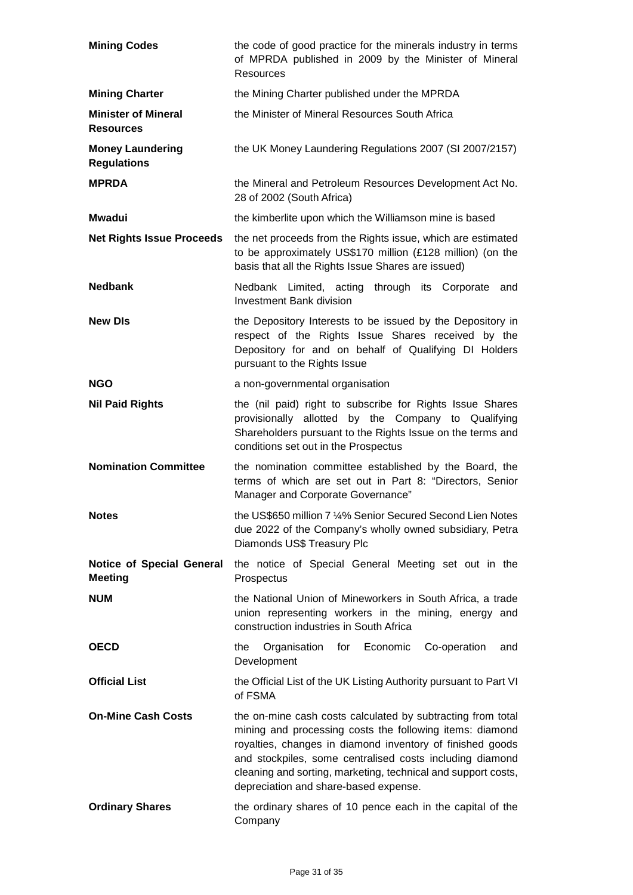| <b>Mining Codes</b>                                | the code of good practice for the minerals industry in terms<br>of MPRDA published in 2009 by the Minister of Mineral<br>Resources                                                                                                                                                                                                                         |  |  |
|----------------------------------------------------|------------------------------------------------------------------------------------------------------------------------------------------------------------------------------------------------------------------------------------------------------------------------------------------------------------------------------------------------------------|--|--|
| <b>Mining Charter</b>                              | the Mining Charter published under the MPRDA                                                                                                                                                                                                                                                                                                               |  |  |
| <b>Minister of Mineral</b><br><b>Resources</b>     | the Minister of Mineral Resources South Africa                                                                                                                                                                                                                                                                                                             |  |  |
| <b>Money Laundering</b><br><b>Regulations</b>      | the UK Money Laundering Regulations 2007 (SI 2007/2157)                                                                                                                                                                                                                                                                                                    |  |  |
| <b>MPRDA</b>                                       | the Mineral and Petroleum Resources Development Act No.<br>28 of 2002 (South Africa)                                                                                                                                                                                                                                                                       |  |  |
| <b>Mwadui</b>                                      | the kimberlite upon which the Williamson mine is based                                                                                                                                                                                                                                                                                                     |  |  |
| <b>Net Rights Issue Proceeds</b>                   | the net proceeds from the Rights issue, which are estimated<br>to be approximately US\$170 million (£128 million) (on the<br>basis that all the Rights Issue Shares are issued)                                                                                                                                                                            |  |  |
| <b>Nedbank</b>                                     | Nedbank Limited, acting through its Corporate<br>and<br><b>Investment Bank division</b>                                                                                                                                                                                                                                                                    |  |  |
| <b>New DIs</b>                                     | the Depository Interests to be issued by the Depository in<br>respect of the Rights Issue Shares received by the<br>Depository for and on behalf of Qualifying DI Holders<br>pursuant to the Rights Issue                                                                                                                                                  |  |  |
| <b>NGO</b>                                         | a non-governmental organisation                                                                                                                                                                                                                                                                                                                            |  |  |
| <b>Nil Paid Rights</b>                             | the (nil paid) right to subscribe for Rights Issue Shares<br>provisionally allotted by the Company to Qualifying<br>Shareholders pursuant to the Rights Issue on the terms and<br>conditions set out in the Prospectus                                                                                                                                     |  |  |
| <b>Nomination Committee</b>                        | the nomination committee established by the Board, the<br>terms of which are set out in Part 8: "Directors, Senior<br>Manager and Corporate Governance"                                                                                                                                                                                                    |  |  |
| <b>Notes</b>                                       | the US\$650 million 7 1⁄4% Senior Secured Second Lien Notes<br>due 2022 of the Company's wholly owned subsidiary, Petra<br>Diamonds US\$ Treasury Plc                                                                                                                                                                                                      |  |  |
| <b>Notice of Special General</b><br><b>Meeting</b> | the notice of Special General Meeting set out in the<br>Prospectus                                                                                                                                                                                                                                                                                         |  |  |
| <b>NUM</b>                                         | the National Union of Mineworkers in South Africa, a trade<br>union representing workers in the mining, energy and<br>construction industries in South Africa                                                                                                                                                                                              |  |  |
| <b>OECD</b>                                        | Organisation<br>for Economic<br>Co-operation<br>the<br>and<br>Development                                                                                                                                                                                                                                                                                  |  |  |
| <b>Official List</b>                               | the Official List of the UK Listing Authority pursuant to Part VI<br>of FSMA                                                                                                                                                                                                                                                                               |  |  |
| <b>On-Mine Cash Costs</b>                          | the on-mine cash costs calculated by subtracting from total<br>mining and processing costs the following items: diamond<br>royalties, changes in diamond inventory of finished goods<br>and stockpiles, some centralised costs including diamond<br>cleaning and sorting, marketing, technical and support costs,<br>depreciation and share-based expense. |  |  |
| <b>Ordinary Shares</b>                             | the ordinary shares of 10 pence each in the capital of the<br>Company                                                                                                                                                                                                                                                                                      |  |  |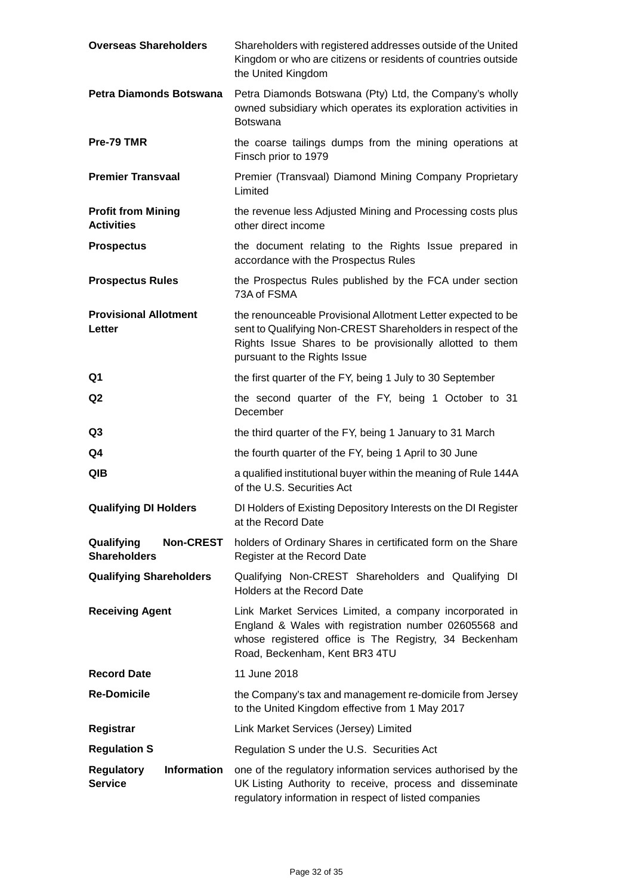| <b>Overseas Shareholders</b>                              | Shareholders with registered addresses outside of the United<br>Kingdom or who are citizens or residents of countries outside<br>the United Kingdom                                                                     |  |  |
|-----------------------------------------------------------|-------------------------------------------------------------------------------------------------------------------------------------------------------------------------------------------------------------------------|--|--|
| Petra Diamonds Botswana                                   | Petra Diamonds Botswana (Pty) Ltd, the Company's wholly<br>owned subsidiary which operates its exploration activities in<br><b>Botswana</b>                                                                             |  |  |
| Pre-79 TMR                                                | the coarse tailings dumps from the mining operations at<br>Finsch prior to 1979                                                                                                                                         |  |  |
| <b>Premier Transvaal</b>                                  | Premier (Transvaal) Diamond Mining Company Proprietary<br>Limited                                                                                                                                                       |  |  |
| <b>Profit from Mining</b><br><b>Activities</b>            | the revenue less Adjusted Mining and Processing costs plus<br>other direct income                                                                                                                                       |  |  |
| <b>Prospectus</b>                                         | the document relating to the Rights Issue prepared in<br>accordance with the Prospectus Rules                                                                                                                           |  |  |
| <b>Prospectus Rules</b>                                   | the Prospectus Rules published by the FCA under section<br>73A of FSMA                                                                                                                                                  |  |  |
| <b>Provisional Allotment</b><br>Letter                    | the renounceable Provisional Allotment Letter expected to be<br>sent to Qualifying Non-CREST Shareholders in respect of the<br>Rights Issue Shares to be provisionally allotted to them<br>pursuant to the Rights Issue |  |  |
| Q1                                                        | the first quarter of the FY, being 1 July to 30 September                                                                                                                                                               |  |  |
| Q <sub>2</sub>                                            | the second quarter of the FY, being 1 October to 31<br>December                                                                                                                                                         |  |  |
| Q3                                                        | the third quarter of the FY, being 1 January to 31 March                                                                                                                                                                |  |  |
| Q4                                                        | the fourth quarter of the FY, being 1 April to 30 June                                                                                                                                                                  |  |  |
| QIB                                                       | a qualified institutional buyer within the meaning of Rule 144A<br>of the U.S. Securities Act                                                                                                                           |  |  |
| <b>Qualifying DI Holders</b>                              | DI Holders of Existing Depository Interests on the DI Register<br>at the Record Date                                                                                                                                    |  |  |
| Qualifying<br><b>Non-CREST</b><br><b>Shareholders</b>     | holders of Ordinary Shares in certificated form on the Share<br>Register at the Record Date                                                                                                                             |  |  |
| <b>Qualifying Shareholders</b>                            | Qualifying Non-CREST Shareholders and Qualifying DI<br><b>Holders at the Record Date</b>                                                                                                                                |  |  |
| <b>Receiving Agent</b>                                    | Link Market Services Limited, a company incorporated in<br>England & Wales with registration number 02605568 and<br>whose registered office is The Registry, 34 Beckenham<br>Road, Beckenham, Kent BR3 4TU              |  |  |
| <b>Record Date</b>                                        | 11 June 2018                                                                                                                                                                                                            |  |  |
| <b>Re-Domicile</b>                                        | the Company's tax and management re-domicile from Jersey<br>to the United Kingdom effective from 1 May 2017                                                                                                             |  |  |
| Registrar                                                 | Link Market Services (Jersey) Limited                                                                                                                                                                                   |  |  |
| <b>Regulation S</b>                                       | Regulation S under the U.S. Securities Act                                                                                                                                                                              |  |  |
| <b>Information</b><br><b>Regulatory</b><br><b>Service</b> | one of the regulatory information services authorised by the<br>UK Listing Authority to receive, process and disseminate<br>regulatory information in respect of listed companies                                       |  |  |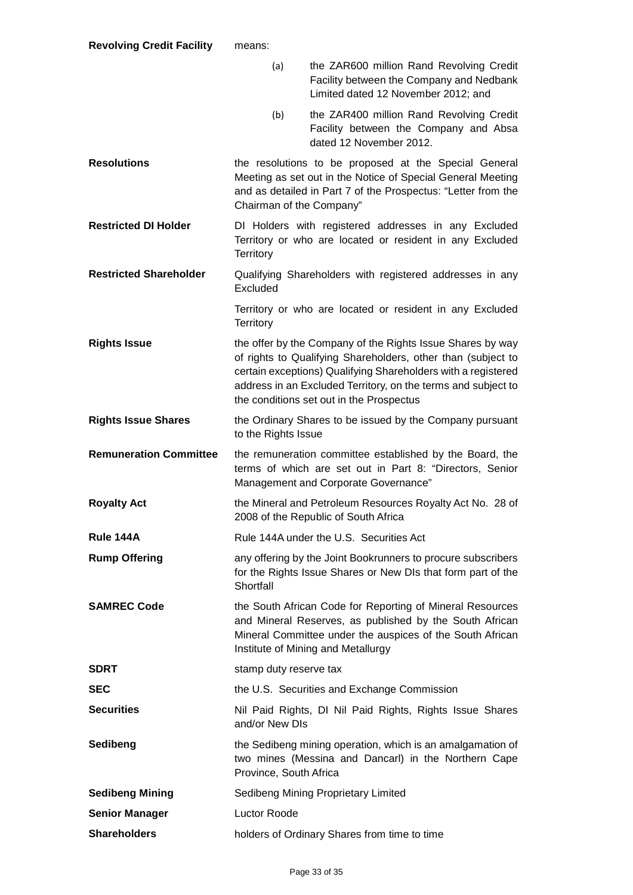|                               | (a)                                                                                                                                                                                                                                                                                                      | the ZAR600 million Rand Revolving Credit<br>Facility between the Company and Nedbank<br>Limited dated 12 November 2012; and                                                                                             |  |
|-------------------------------|----------------------------------------------------------------------------------------------------------------------------------------------------------------------------------------------------------------------------------------------------------------------------------------------------------|-------------------------------------------------------------------------------------------------------------------------------------------------------------------------------------------------------------------------|--|
|                               | (b)                                                                                                                                                                                                                                                                                                      | the ZAR400 million Rand Revolving Credit<br>Facility between the Company and Absa<br>dated 12 November 2012.                                                                                                            |  |
| <b>Resolutions</b>            | the resolutions to be proposed at the Special General<br>Meeting as set out in the Notice of Special General Meeting<br>and as detailed in Part 7 of the Prospectus: "Letter from the<br>Chairman of the Company"                                                                                        |                                                                                                                                                                                                                         |  |
| <b>Restricted DI Holder</b>   | DI Holders with registered addresses in any Excluded<br>Territory or who are located or resident in any Excluded<br>Territory                                                                                                                                                                            |                                                                                                                                                                                                                         |  |
| <b>Restricted Shareholder</b> | Excluded                                                                                                                                                                                                                                                                                                 | Qualifying Shareholders with registered addresses in any                                                                                                                                                                |  |
|                               | Territory                                                                                                                                                                                                                                                                                                | Territory or who are located or resident in any Excluded                                                                                                                                                                |  |
| <b>Rights Issue</b>           | the offer by the Company of the Rights Issue Shares by way<br>of rights to Qualifying Shareholders, other than (subject to<br>certain exceptions) Qualifying Shareholders with a registered<br>address in an Excluded Territory, on the terms and subject to<br>the conditions set out in the Prospectus |                                                                                                                                                                                                                         |  |
| <b>Rights Issue Shares</b>    | the Ordinary Shares to be issued by the Company pursuant<br>to the Rights Issue                                                                                                                                                                                                                          |                                                                                                                                                                                                                         |  |
|                               | the remuneration committee established by the Board, the<br>terms of which are set out in Part 8: "Directors, Senior<br>Management and Corporate Governance"                                                                                                                                             |                                                                                                                                                                                                                         |  |
| <b>Remuneration Committee</b> |                                                                                                                                                                                                                                                                                                          |                                                                                                                                                                                                                         |  |
| <b>Royalty Act</b>            |                                                                                                                                                                                                                                                                                                          | the Mineral and Petroleum Resources Royalty Act No. 28 of<br>2008 of the Republic of South Africa                                                                                                                       |  |
| Rule 144A                     |                                                                                                                                                                                                                                                                                                          | Rule 144A under the U.S. Securities Act                                                                                                                                                                                 |  |
| <b>Rump Offering</b>          | Shortfall                                                                                                                                                                                                                                                                                                | any offering by the Joint Bookrunners to procure subscribers<br>for the Rights Issue Shares or New DIs that form part of the                                                                                            |  |
| <b>SAMREC Code</b>            |                                                                                                                                                                                                                                                                                                          | the South African Code for Reporting of Mineral Resources<br>and Mineral Reserves, as published by the South African<br>Mineral Committee under the auspices of the South African<br>Institute of Mining and Metallurgy |  |
| <b>SDRT</b>                   | stamp duty reserve tax                                                                                                                                                                                                                                                                                   |                                                                                                                                                                                                                         |  |
| <b>SEC</b>                    |                                                                                                                                                                                                                                                                                                          | the U.S. Securities and Exchange Commission                                                                                                                                                                             |  |
| <b>Securities</b>             | and/or New DIs                                                                                                                                                                                                                                                                                           | Nil Paid Rights, DI Nil Paid Rights, Rights Issue Shares                                                                                                                                                                |  |
| Sedibeng                      | Province, South Africa                                                                                                                                                                                                                                                                                   | the Sedibeng mining operation, which is an amalgamation of<br>two mines (Messina and Dancarl) in the Northern Cape                                                                                                      |  |
| <b>Sedibeng Mining</b>        |                                                                                                                                                                                                                                                                                                          | Sedibeng Mining Proprietary Limited                                                                                                                                                                                     |  |
| <b>Senior Manager</b>         | Luctor Roode                                                                                                                                                                                                                                                                                             |                                                                                                                                                                                                                         |  |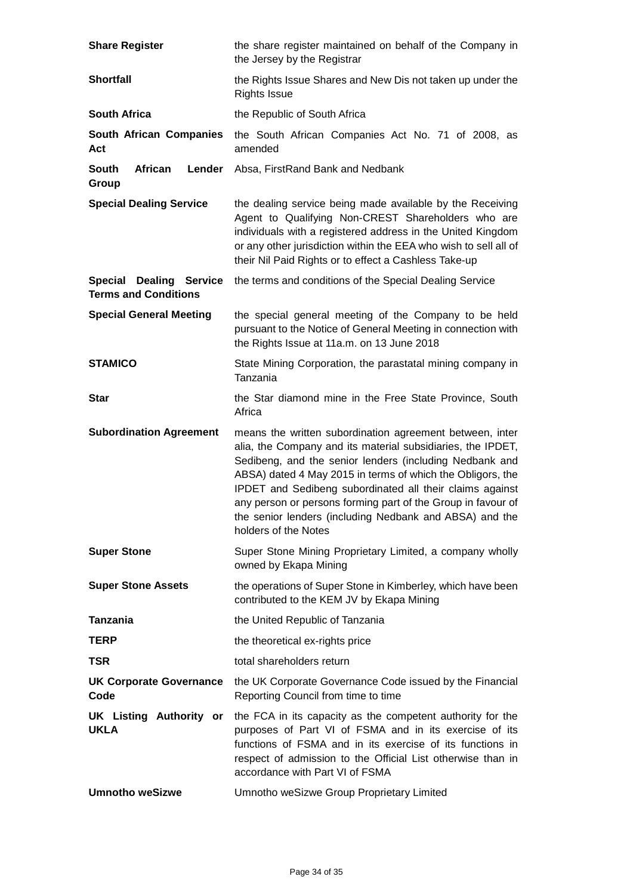| <b>Share Register</b>                                         | the share register maintained on behalf of the Company in<br>the Jersey by the Registrar                                                                                                                                                                                                                                                                                                                                                                        |  |  |
|---------------------------------------------------------------|-----------------------------------------------------------------------------------------------------------------------------------------------------------------------------------------------------------------------------------------------------------------------------------------------------------------------------------------------------------------------------------------------------------------------------------------------------------------|--|--|
| <b>Shortfall</b>                                              | the Rights Issue Shares and New Dis not taken up under the<br><b>Rights Issue</b>                                                                                                                                                                                                                                                                                                                                                                               |  |  |
| <b>South Africa</b>                                           | the Republic of South Africa                                                                                                                                                                                                                                                                                                                                                                                                                                    |  |  |
| <b>South African Companies</b><br>Act                         | the South African Companies Act No. 71 of 2008, as<br>amended                                                                                                                                                                                                                                                                                                                                                                                                   |  |  |
| <b>South</b><br>African<br>Lender<br>Group                    | Absa, FirstRand Bank and Nedbank                                                                                                                                                                                                                                                                                                                                                                                                                                |  |  |
| <b>Special Dealing Service</b>                                | the dealing service being made available by the Receiving<br>Agent to Qualifying Non-CREST Shareholders who are<br>individuals with a registered address in the United Kingdom<br>or any other jurisdiction within the EEA who wish to sell all of<br>their Nil Paid Rights or to effect a Cashless Take-up                                                                                                                                                     |  |  |
| <b>Special Dealing Service</b><br><b>Terms and Conditions</b> | the terms and conditions of the Special Dealing Service                                                                                                                                                                                                                                                                                                                                                                                                         |  |  |
| <b>Special General Meeting</b>                                | the special general meeting of the Company to be held<br>pursuant to the Notice of General Meeting in connection with<br>the Rights Issue at 11a.m. on 13 June 2018                                                                                                                                                                                                                                                                                             |  |  |
| <b>STAMICO</b>                                                | State Mining Corporation, the parastatal mining company in<br>Tanzania                                                                                                                                                                                                                                                                                                                                                                                          |  |  |
| <b>Star</b>                                                   | the Star diamond mine in the Free State Province, South<br>Africa                                                                                                                                                                                                                                                                                                                                                                                               |  |  |
| <b>Subordination Agreement</b>                                | means the written subordination agreement between, inter<br>alia, the Company and its material subsidiaries, the IPDET,<br>Sedibeng, and the senior lenders (including Nedbank and<br>ABSA) dated 4 May 2015 in terms of which the Obligors, the<br>IPDET and Sedibeng subordinated all their claims against<br>any person or persons forming part of the Group in favour of<br>the senior lenders (including Nedbank and ABSA) and the<br>holders of the Notes |  |  |
| <b>Super Stone</b>                                            | Super Stone Mining Proprietary Limited, a company wholly<br>owned by Ekapa Mining                                                                                                                                                                                                                                                                                                                                                                               |  |  |
| <b>Super Stone Assets</b>                                     | the operations of Super Stone in Kimberley, which have been<br>contributed to the KEM JV by Ekapa Mining                                                                                                                                                                                                                                                                                                                                                        |  |  |
| <b>Tanzania</b>                                               | the United Republic of Tanzania                                                                                                                                                                                                                                                                                                                                                                                                                                 |  |  |
| <b>TERP</b>                                                   | the theoretical ex-rights price                                                                                                                                                                                                                                                                                                                                                                                                                                 |  |  |
| <b>TSR</b>                                                    | total shareholders return                                                                                                                                                                                                                                                                                                                                                                                                                                       |  |  |
| <b>UK Corporate Governance</b><br>Code                        | the UK Corporate Governance Code issued by the Financial<br>Reporting Council from time to time                                                                                                                                                                                                                                                                                                                                                                 |  |  |
| <b>UK Listing Authority or</b><br><b>UKLA</b>                 | the FCA in its capacity as the competent authority for the<br>purposes of Part VI of FSMA and in its exercise of its<br>functions of FSMA and in its exercise of its functions in<br>respect of admission to the Official List otherwise than in<br>accordance with Part VI of FSMA                                                                                                                                                                             |  |  |
| <b>Umnotho weSizwe</b>                                        | Umnotho weSizwe Group Proprietary Limited                                                                                                                                                                                                                                                                                                                                                                                                                       |  |  |